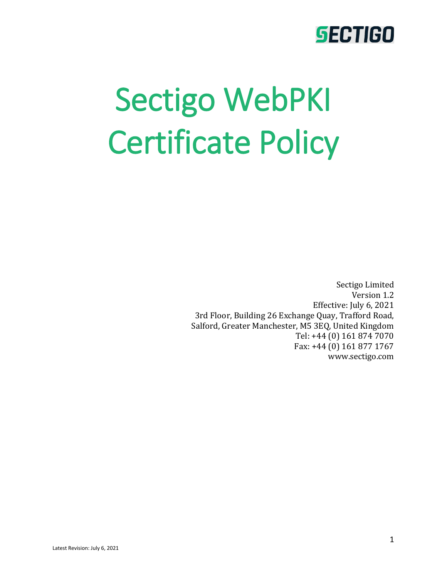# Sectigo WebPKI Certificate Policy

Sectigo Limited Version 1.2 Effective: July 6, 2021 3rd Floor, Building 26 Exchange Quay, Trafford Road, Salford, Greater Manchester, M5 3EQ, United Kingdom Tel: +44 (0) 161 874 7070 Fax: +44 (0) 161 877 1767 www.sectigo.com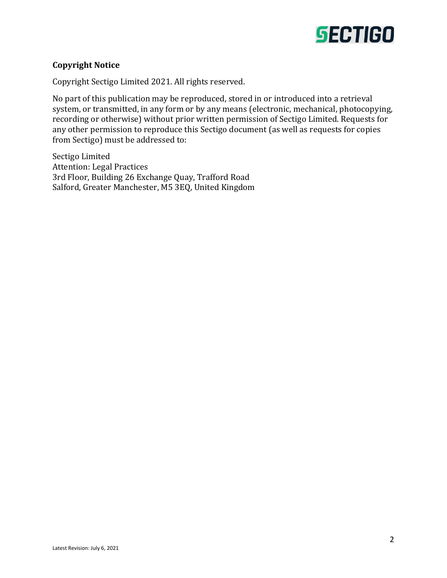

#### **Copyright Notice**

Copyright Sectigo Limited 2021. All rights reserved.

No part of this publication may be reproduced, stored in or introduced into a retrieval system, or transmitted, in any form or by any means (electronic, mechanical, photocopying, recording or otherwise) without prior written permission of Sectigo Limited. Requests for any other permission to reproduce this Sectigo document (as well as requests for copies from Sectigo) must be addressed to:

Sectigo Limited Attention: Legal Practices 3rd Floor, Building 26 Exchange Quay, Trafford Road Salford, Greater Manchester, M5 3EQ, United Kingdom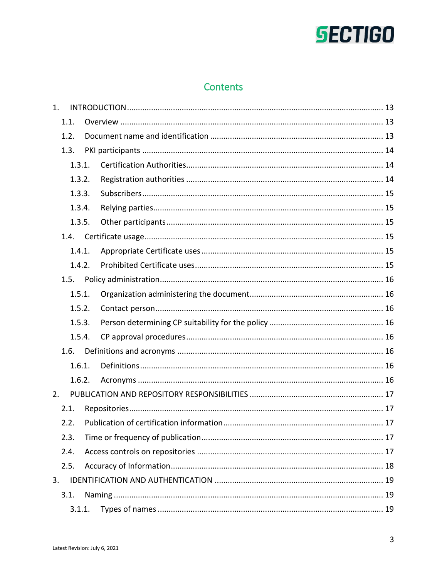# Contents

| 1. |        |  |
|----|--------|--|
|    | 1.1.   |  |
|    | 1.2.   |  |
|    | 1.3.   |  |
|    | 1.3.1. |  |
|    | 1.3.2. |  |
|    | 1.3.3. |  |
|    | 1.3.4. |  |
|    | 1.3.5. |  |
|    | 1.4.   |  |
|    | 1.4.1. |  |
|    | 1.4.2. |  |
|    | 1.5.   |  |
|    | 1.5.1. |  |
|    | 1.5.2. |  |
|    | 1.5.3. |  |
|    | 1.5.4. |  |
|    | 1.6.   |  |
|    | 1.6.1. |  |
|    | 1.6.2. |  |
| 2. |        |  |
|    | 2.1.   |  |
|    | 2.2.   |  |
|    | 2.3.   |  |
|    | 2.4.   |  |
|    | 2.5.   |  |
| 3. |        |  |
|    | 3.1.   |  |
|    | 3.1.1. |  |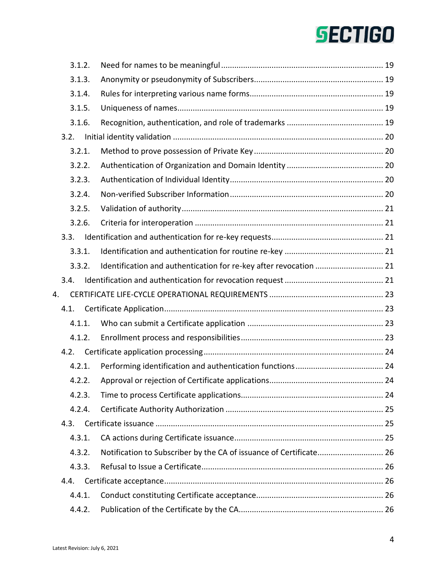|    |      | 3.1.2. |                                                                   |  |
|----|------|--------|-------------------------------------------------------------------|--|
|    |      | 3.1.3. |                                                                   |  |
|    |      | 3.1.4. |                                                                   |  |
|    |      | 3.1.5. |                                                                   |  |
|    |      | 3.1.6. |                                                                   |  |
|    | 3.2. |        |                                                                   |  |
|    |      | 3.2.1. |                                                                   |  |
|    |      | 3.2.2. |                                                                   |  |
|    |      | 3.2.3. |                                                                   |  |
|    |      | 3.2.4. |                                                                   |  |
|    |      | 3.2.5. |                                                                   |  |
|    |      | 3.2.6. |                                                                   |  |
|    | 3.3. |        |                                                                   |  |
|    |      | 3.3.1. |                                                                   |  |
|    |      | 3.3.2. | Identification and authentication for re-key after revocation  21 |  |
|    | 3.4. |        |                                                                   |  |
| 4. |      |        |                                                                   |  |
|    | 4.1. |        |                                                                   |  |
|    |      | 4.1.1. |                                                                   |  |
|    |      | 4.1.2. |                                                                   |  |
|    | 4.2. |        |                                                                   |  |
|    |      | 4.2.1. |                                                                   |  |
|    |      | 4.2.2. |                                                                   |  |
|    |      | 4.2.3. |                                                                   |  |
|    |      | 4.2.4. |                                                                   |  |
|    | 4.3. |        |                                                                   |  |
|    |      | 4.3.1. |                                                                   |  |
|    |      | 4.3.2. |                                                                   |  |
|    |      | 4.3.3. |                                                                   |  |
|    | 4.4. |        |                                                                   |  |
|    |      | 4.4.1. |                                                                   |  |
|    |      | 4.4.2. |                                                                   |  |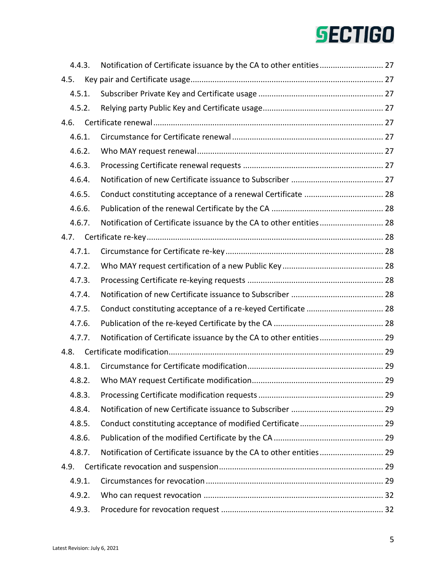| 4.4.3. |                                                                     |  |
|--------|---------------------------------------------------------------------|--|
| 4.5.   |                                                                     |  |
| 4.5.1. |                                                                     |  |
| 4.5.2. |                                                                     |  |
| 4.6.   |                                                                     |  |
| 4.6.1. |                                                                     |  |
| 4.6.2. |                                                                     |  |
| 4.6.3. |                                                                     |  |
| 4.6.4. |                                                                     |  |
| 4.6.5. |                                                                     |  |
| 4.6.6. |                                                                     |  |
| 4.6.7. |                                                                     |  |
| 4.7.   |                                                                     |  |
| 4.7.1. |                                                                     |  |
| 4.7.2. |                                                                     |  |
| 4.7.3. |                                                                     |  |
| 4.7.4. |                                                                     |  |
| 4.7.5. |                                                                     |  |
| 4.7.6. |                                                                     |  |
| 4.7.7. | Notification of Certificate issuance by the CA to other entities 29 |  |
| 4.8.   |                                                                     |  |
| 4.8.1. |                                                                     |  |
| 4.8.2. |                                                                     |  |
| 4.8.3. |                                                                     |  |
| 4.8.4. |                                                                     |  |
| 4.8.5. |                                                                     |  |
| 4.8.6. |                                                                     |  |
| 4.8.7. | Notification of Certificate issuance by the CA to other entities 29 |  |
| 4.9.   |                                                                     |  |
| 4.9.1. |                                                                     |  |
| 4.9.2. |                                                                     |  |
| 4.9.3. |                                                                     |  |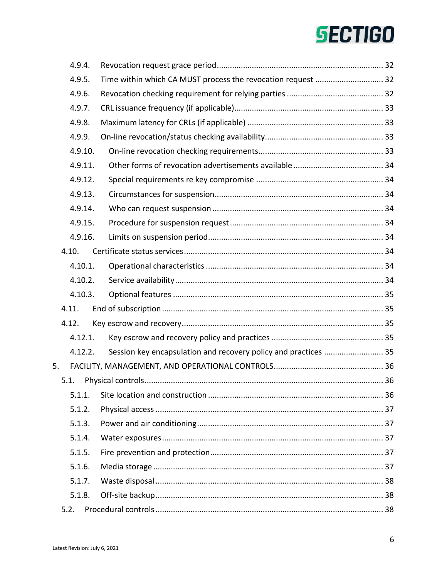| 4.9.4. |         |                                                                 |  |
|--------|---------|-----------------------------------------------------------------|--|
| 4.9.5. |         | Time within which CA MUST process the revocation request  32    |  |
| 4.9.6. |         |                                                                 |  |
| 4.9.7. |         |                                                                 |  |
| 4.9.8. |         |                                                                 |  |
| 4.9.9. |         |                                                                 |  |
|        | 4.9.10. |                                                                 |  |
|        | 4.9.11. |                                                                 |  |
|        | 4.9.12. |                                                                 |  |
|        | 4.9.13. |                                                                 |  |
|        | 4.9.14. |                                                                 |  |
|        | 4.9.15. |                                                                 |  |
|        | 4.9.16. |                                                                 |  |
| 4.10.  |         |                                                                 |  |
|        | 4.10.1. |                                                                 |  |
|        | 4.10.2. |                                                                 |  |
|        | 4.10.3. |                                                                 |  |
| 4.11.  |         |                                                                 |  |
| 4.12.  |         |                                                                 |  |
|        | 4.12.1. |                                                                 |  |
|        | 4.12.2. | Session key encapsulation and recovery policy and practices  35 |  |
| 5.     |         |                                                                 |  |
| 5.1.   |         |                                                                 |  |
| 5.1.1. |         |                                                                 |  |
| 5.1.2. |         |                                                                 |  |
| 5.1.3. |         |                                                                 |  |
| 5.1.4. |         |                                                                 |  |
| 5.1.5. |         |                                                                 |  |
| 5.1.6. |         |                                                                 |  |
| 5.1.7. |         |                                                                 |  |
| 5.1.8. |         |                                                                 |  |
|        |         |                                                                 |  |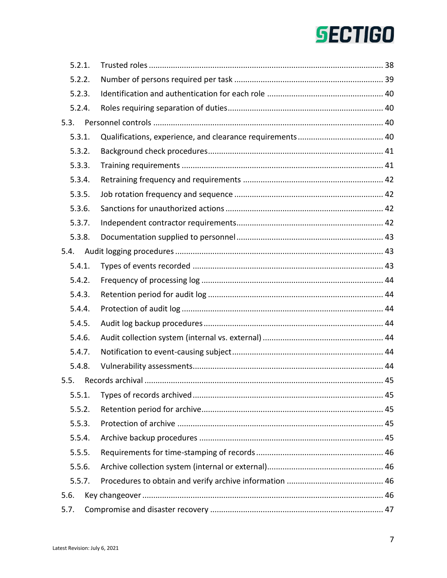| 5.2.1. |  |  |
|--------|--|--|
| 5.2.2. |  |  |
| 5.2.3. |  |  |
| 5.2.4. |  |  |
| 5.3.   |  |  |
| 5.3.1. |  |  |
| 5.3.2. |  |  |
| 5.3.3. |  |  |
| 5.3.4. |  |  |
| 5.3.5. |  |  |
| 5.3.6. |  |  |
| 5.3.7. |  |  |
| 5.3.8. |  |  |
| 5.4.   |  |  |
| 5.4.1. |  |  |
| 5.4.2. |  |  |
| 5.4.3. |  |  |
| 5.4.4. |  |  |
| 5.4.5. |  |  |
| 5.4.6. |  |  |
| 5.4.7. |  |  |
| 5.4.8. |  |  |
| 5.5.   |  |  |
| 5.5.1. |  |  |
| 5.5.2. |  |  |
| 5.5.3. |  |  |
| 5.5.4. |  |  |
| 5.5.5. |  |  |
| 5.5.6. |  |  |
| 5.5.7. |  |  |
| 5.6.   |  |  |
| 5.7.   |  |  |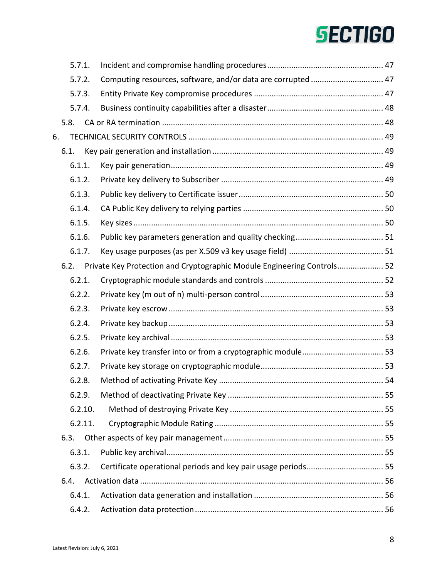|    | 5.7.1.  |                                                                         |  |
|----|---------|-------------------------------------------------------------------------|--|
|    | 5.7.2.  | Computing resources, software, and/or data are corrupted  47            |  |
|    | 5.7.3.  |                                                                         |  |
|    | 5.7.4.  |                                                                         |  |
|    | 5.8.    |                                                                         |  |
| 6. |         |                                                                         |  |
|    | 6.1.    |                                                                         |  |
|    | 6.1.1.  |                                                                         |  |
|    | 6.1.2.  |                                                                         |  |
|    | 6.1.3.  |                                                                         |  |
|    | 6.1.4.  |                                                                         |  |
|    | 6.1.5.  |                                                                         |  |
|    | 6.1.6.  |                                                                         |  |
|    | 6.1.7.  |                                                                         |  |
|    | 6.2.    | Private Key Protection and Cryptographic Module Engineering Controls 52 |  |
|    | 6.2.1.  |                                                                         |  |
|    | 6.2.2.  |                                                                         |  |
|    | 6.2.3.  |                                                                         |  |
|    | 6.2.4.  |                                                                         |  |
|    | 6.2.5.  |                                                                         |  |
|    | 6.2.6.  |                                                                         |  |
|    | 6.2.7.  |                                                                         |  |
|    | 6.2.8.  |                                                                         |  |
|    | 6.2.9.  |                                                                         |  |
|    | 6.2.10. |                                                                         |  |
|    | 6.2.11. |                                                                         |  |
|    | 6.3.    |                                                                         |  |
|    | 6.3.1.  |                                                                         |  |
|    | 6.3.2.  |                                                                         |  |
|    | 6.4.    |                                                                         |  |
|    | 6.4.1.  |                                                                         |  |
|    | 6.4.2.  |                                                                         |  |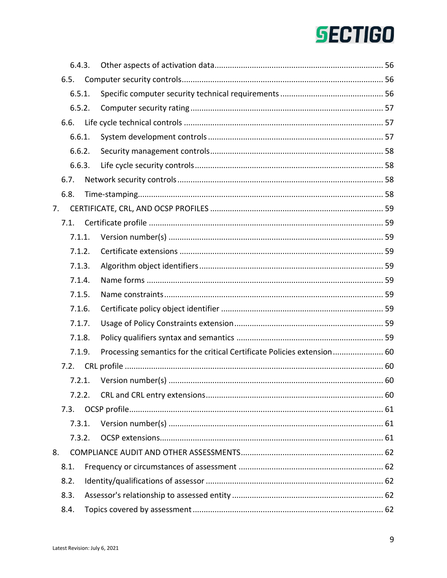|        | 6.4.3. |                                                                         |  |
|--------|--------|-------------------------------------------------------------------------|--|
| 6.5.   |        |                                                                         |  |
|        | 6.5.1. |                                                                         |  |
|        | 6.5.2. |                                                                         |  |
| 6.6.   |        |                                                                         |  |
|        | 6.6.1. |                                                                         |  |
|        | 6.6.2. |                                                                         |  |
|        | 6.6.3. |                                                                         |  |
| 6.7.   |        |                                                                         |  |
| 6.8.   |        |                                                                         |  |
| 7.     |        |                                                                         |  |
| 7.1.   |        |                                                                         |  |
|        | 7.1.1. |                                                                         |  |
|        | 7.1.2. |                                                                         |  |
|        | 7.1.3. |                                                                         |  |
|        | 7.1.4. |                                                                         |  |
|        | 7.1.5. |                                                                         |  |
| 7.1.6. |        |                                                                         |  |
|        | 7.1.7. |                                                                         |  |
| 7.1.8. |        |                                                                         |  |
|        | 7.1.9. | Processing semantics for the critical Certificate Policies extension 60 |  |
| 7.2.   |        |                                                                         |  |
|        | 7.2.1. |                                                                         |  |
|        | 7.2.2. |                                                                         |  |
| 7.3.   |        |                                                                         |  |
|        | 7.3.1. |                                                                         |  |
|        | 7.3.2. |                                                                         |  |
| 8.     |        |                                                                         |  |
| 8.1.   |        |                                                                         |  |
| 8.2.   |        |                                                                         |  |
| 8.3.   |        |                                                                         |  |
| 8.4.   |        |                                                                         |  |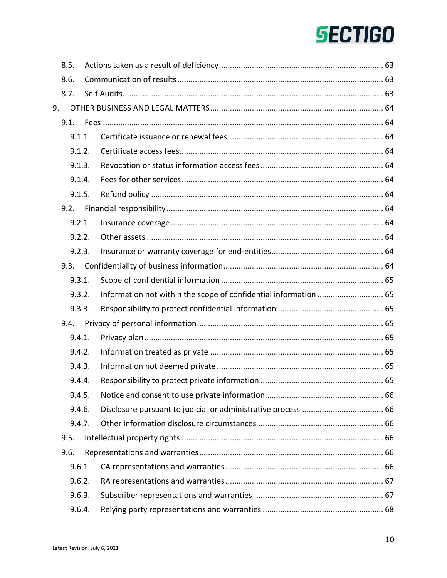|    | 8.5.   |                                                                                                                 |  |
|----|--------|-----------------------------------------------------------------------------------------------------------------|--|
|    | 8.6.   |                                                                                                                 |  |
|    | 8.7.   | Experiment and the material contracts and the contracts of the contracts of the contracts of the contracts of t |  |
| 9. |        |                                                                                                                 |  |
|    | 9.1.   |                                                                                                                 |  |
|    | 9.1.1. |                                                                                                                 |  |
|    | 9.1.2. |                                                                                                                 |  |
|    | 9.1.3. |                                                                                                                 |  |
|    | 9.1.4. |                                                                                                                 |  |
|    | 9.1.5. |                                                                                                                 |  |
|    | 9.2.   |                                                                                                                 |  |
|    | 9.2.1. |                                                                                                                 |  |
|    | 9.2.2. |                                                                                                                 |  |
|    | 9.2.3. |                                                                                                                 |  |
|    | 9.3.   |                                                                                                                 |  |
|    | 9.3.1. |                                                                                                                 |  |
|    | 9.3.2. |                                                                                                                 |  |
|    | 9.3.3. |                                                                                                                 |  |
|    | 9.4.   |                                                                                                                 |  |
|    | 9.4.1. |                                                                                                                 |  |
|    | 9.4.2. |                                                                                                                 |  |
|    | 9.4.3. |                                                                                                                 |  |
|    | 9.4.4. |                                                                                                                 |  |
|    | 9.4.5. |                                                                                                                 |  |
|    | 9.4.6. |                                                                                                                 |  |
|    | 9.4.7. |                                                                                                                 |  |
|    | 9.5.   |                                                                                                                 |  |
|    | 9.6.   |                                                                                                                 |  |
|    | 9.6.1. |                                                                                                                 |  |
|    | 9.6.2. |                                                                                                                 |  |
|    | 9.6.3. |                                                                                                                 |  |
|    | 9.6.4. |                                                                                                                 |  |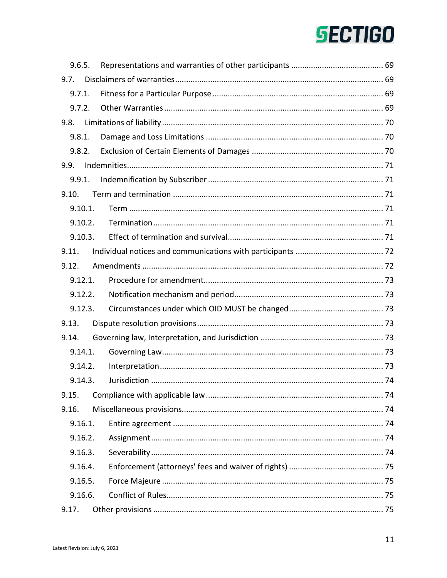| 9.6.5.  |  |
|---------|--|
| 9.7.    |  |
| 9.7.1.  |  |
| 9.7.2.  |  |
| 9.8.    |  |
| 9.8.1.  |  |
|         |  |
| 9.9.    |  |
| 9.9.1.  |  |
|         |  |
| 9.10.1. |  |
| 9.10.2. |  |
| 9.10.3. |  |
| 9.11.   |  |
| 9.12.   |  |
| 9.12.1. |  |
| 9.12.2. |  |
| 9.12.3. |  |
| 9.13.   |  |
| 9.14.   |  |
| 9.14.1. |  |
| 9.14.2. |  |
| 9.14.3. |  |
| 9.15.   |  |
| 9.16.   |  |
| 9.16.1. |  |
| 9.16.2. |  |
| 9.16.3. |  |
| 9.16.4. |  |
| 9.16.5. |  |
| 9.16.6. |  |
| 9.17.   |  |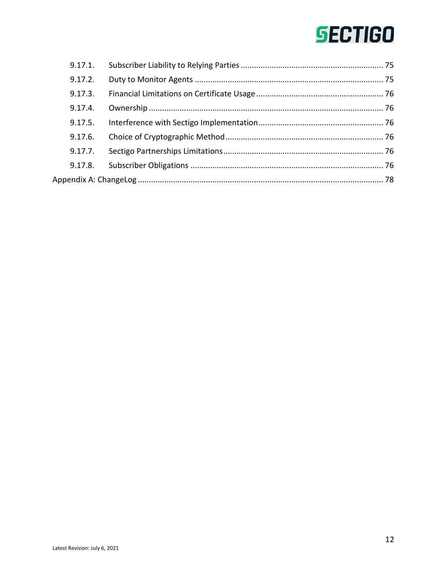| 9.17.1. |  |
|---------|--|
| 9.17.2. |  |
| 9.17.3. |  |
| 9.17.4. |  |
| 9.17.5. |  |
| 9.17.6. |  |
| 9.17.7. |  |
| 9.17.8. |  |
|         |  |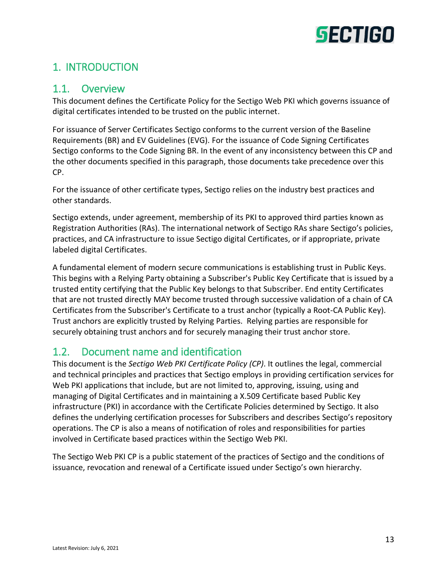

# <span id="page-12-0"></span>1. INTRODUCTION

### <span id="page-12-1"></span>1.1. Overview

This document defines the Certificate Policy for the Sectigo Web PKI which governs issuance of digital certificates intended to be trusted on the public internet.

For issuance of Server Certificates Sectigo conforms to the current version of the Baseline Requirements (BR) and EV Guidelines (EVG). For the issuance of Code Signing Certificates Sectigo conforms to the Code Signing BR. In the event of any inconsistency between this CP and the other documents specified in this paragraph, those documents take precedence over this CP.

For the issuance of other certificate types, Sectigo relies on the industry best practices and other standards.

Sectigo extends, under agreement, membership of its PKI to approved third parties known as Registration Authorities (RAs). The international network of Sectigo RAs share Sectigo's policies, practices, and CA infrastructure to issue Sectigo digital Certificates, or if appropriate, private labeled digital Certificates.

A fundamental element of modern secure communications is establishing trust in Public Keys. This begins with a Relying Party obtaining a Subscriber's Public Key Certificate that is issued by a trusted entity certifying that the Public Key belongs to that Subscriber. End entity Certificates that are not trusted directly MAY become trusted through successive validation of a chain of CA Certificates from the Subscriber's Certificate to a trust anchor (typically a Root-CA Public Key). Trust anchors are explicitly trusted by Relying Parties. Relying parties are responsible for securely obtaining trust anchors and for securely managing their trust anchor store.

# <span id="page-12-2"></span>1.2. Document name and identification

This document is the *Sectigo Web PKI Certificate Policy (CP)*. It outlines the legal, commercial and technical principles and practices that Sectigo employs in providing certification services for Web PKI applications that include, but are not limited to, approving, issuing, using and managing of Digital Certificates and in maintaining a X.509 Certificate based Public Key infrastructure (PKI) in accordance with the Certificate Policies determined by Sectigo. It also defines the underlying certification processes for Subscribers and describes Sectigo's repository operations. The CP is also a means of notification of roles and responsibilities for parties involved in Certificate based practices within the Sectigo Web PKI.

The Sectigo Web PKI CP is a public statement of the practices of Sectigo and the conditions of issuance, revocation and renewal of a Certificate issued under Sectigo's own hierarchy.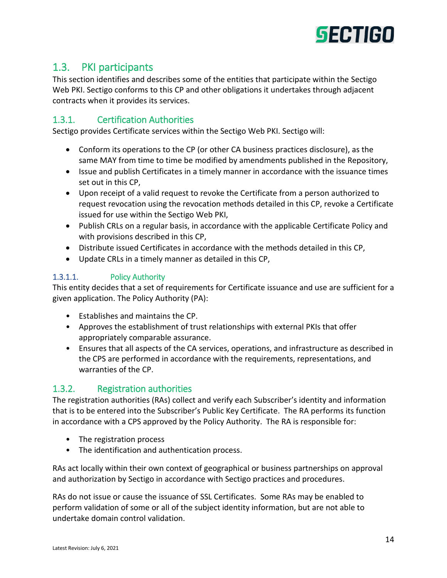

# <span id="page-13-0"></span>1.3. PKI participants

This section identifies and describes some of the entities that participate within the Sectigo Web PKI. Sectigo conforms to this CP and other obligations it undertakes through adjacent contracts when it provides its services.

### <span id="page-13-1"></span>1.3.1. Certification Authorities

Sectigo provides Certificate services within the Sectigo Web PKI. Sectigo will:

- Conform its operations to the CP (or other CA business practices disclosure), as the same MAY from time to time be modified by amendments published in the Repository,
- Issue and publish Certificates in a timely manner in accordance with the issuance times set out in this CP,
- Upon receipt of a valid request to revoke the Certificate from a person authorized to request revocation using the revocation methods detailed in this CP, revoke a Certificate issued for use within the Sectigo Web PKI,
- Publish CRLs on a regular basis, in accordance with the applicable Certificate Policy and with provisions described in this CP,
- Distribute issued Certificates in accordance with the methods detailed in this CP,
- Update CRLs in a timely manner as detailed in this CP,

#### 1.3.1.1. Policy Authority

This entity decides that a set of requirements for Certificate issuance and use are sufficient for a given application. The Policy Authority (PA):

- Establishes and maintains the CP.
- Approves the establishment of trust relationships with external PKIs that offer appropriately comparable assurance.
- Ensures that all aspects of the CA services, operations, and infrastructure as described in the CPS are performed in accordance with the requirements, representations, and warranties of the CP.

# <span id="page-13-2"></span>1.3.2. Registration authorities

The registration authorities (RAs) collect and verify each Subscriber's identity and information that is to be entered into the Subscriber's Public Key Certificate. The RA performs its function in accordance with a CPS approved by the Policy Authority. The RA is responsible for:

- The registration process
- The identification and authentication process.

RAs act locally within their own context of geographical or business partnerships on approval and authorization by Sectigo in accordance with Sectigo practices and procedures.

RAs do not issue or cause the issuance of SSL Certificates. Some RAs may be enabled to perform validation of some or all of the subject identity information, but are not able to undertake domain control validation.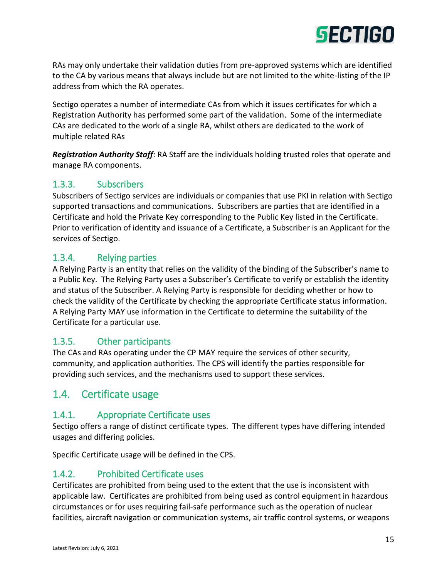

RAs may only undertake their validation duties from pre-approved systems which are identified to the CA by various means that always include but are not limited to the white-listing of the IP address from which the RA operates.

Sectigo operates a number of intermediate CAs from which it issues certificates for which a Registration Authority has performed some part of the validation. Some of the intermediate CAs are dedicated to the work of a single RA, whilst others are dedicated to the work of multiple related RAs

*Registration Authority Staff*: RA Staff are the individuals holding trusted roles that operate and manage RA components.

### <span id="page-14-0"></span>1.3.3. Subscribers

Subscribers of Sectigo services are individuals or companies that use PKI in relation with Sectigo supported transactions and communications. Subscribers are parties that are identified in a Certificate and hold the Private Key corresponding to the Public Key listed in the Certificate. Prior to verification of identity and issuance of a Certificate, a Subscriber is an Applicant for the services of Sectigo.

### <span id="page-14-1"></span>1.3.4. Relying parties

A Relying Party is an entity that relies on the validity of the binding of the Subscriber's name to a Public Key. The Relying Party uses a Subscriber's Certificate to verify or establish the identity and status of the Subscriber. A Relying Party is responsible for deciding whether or how to check the validity of the Certificate by checking the appropriate Certificate status information. A Relying Party MAY use information in the Certificate to determine the suitability of the Certificate for a particular use.

#### <span id="page-14-2"></span>1.3.5. Other participants

The CAs and RAs operating under the CP MAY require the services of other security, community, and application authorities. The CPS will identify the parties responsible for providing such services, and the mechanisms used to support these services.

# <span id="page-14-3"></span>1.4. Certificate usage

#### <span id="page-14-4"></span>1.4.1. Appropriate Certificate uses

Sectigo offers a range of distinct certificate types. The different types have differing intended usages and differing policies.

Specific Certificate usage will be defined in the CPS.

# <span id="page-14-5"></span>1.4.2. Prohibited Certificate uses

Certificates are prohibited from being used to the extent that the use is inconsistent with applicable law. Certificates are prohibited from being used as control equipment in hazardous circumstances or for uses requiring fail-safe performance such as the operation of nuclear facilities, aircraft navigation or communication systems, air traffic control systems, or weapons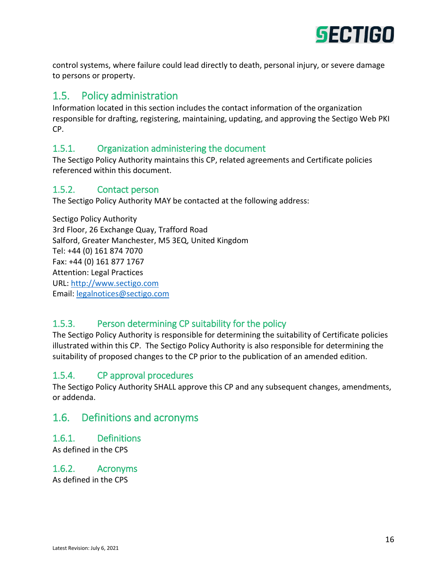

control systems, where failure could lead directly to death, personal injury, or severe damage to persons or property.

# <span id="page-15-0"></span>1.5. Policy administration

Information located in this section includes the contact information of the organization responsible for drafting, registering, maintaining, updating, and approving the Sectigo Web PKI CP.

#### <span id="page-15-1"></span>1.5.1. Organization administering the document

The Sectigo Policy Authority maintains this CP, related agreements and Certificate policies referenced within this document.

#### <span id="page-15-2"></span>1.5.2. Contact person

The Sectigo Policy Authority MAY be contacted at the following address:

Sectigo Policy Authority 3rd Floor, 26 Exchange Quay, Trafford Road Salford, Greater Manchester, M5 3EQ, United Kingdom Tel: +44 (0) 161 874 7070 Fax: +44 (0) 161 877 1767 Attention: Legal Practices URL: [http://www.sectigo.com](http://www.comodoca.com/) Email: [legalnotices@sectigo.com](mailto:legalnotices@sectigo.com)

# <span id="page-15-3"></span>1.5.3. Person determining CP suitability for the policy

The Sectigo Policy Authority is responsible for determining the suitability of Certificate policies illustrated within this CP. The Sectigo Policy Authority is also responsible for determining the suitability of proposed changes to the CP prior to the publication of an amended edition.

#### <span id="page-15-4"></span>1.5.4. CP approval procedures

The Sectigo Policy Authority SHALL approve this CP and any subsequent changes, amendments, or addenda.

# <span id="page-15-5"></span>1.6. Definitions and acronyms

#### <span id="page-15-6"></span>1.6.1. Definitions

As defined in the CPS

#### <span id="page-15-7"></span>1.6.2. Acronyms As defined in the CPS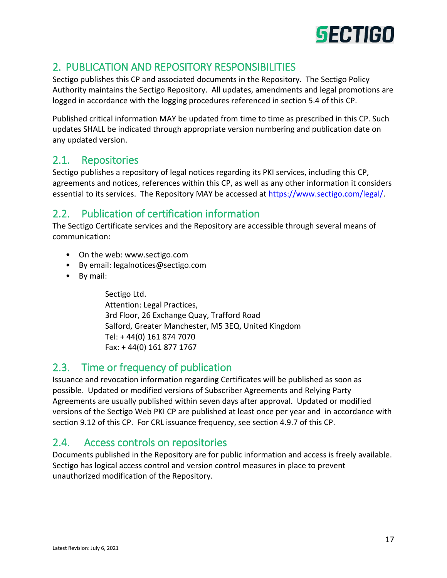

# <span id="page-16-0"></span>2. PUBLICATION AND REPOSITORY RESPONSIBILITIES

Sectigo publishes this CP and associated documents in the Repository. The Sectigo Policy Authority maintains the Sectigo Repository. All updates, amendments and legal promotions are logged in accordance with the logging procedures referenced in section 5.4 of this CP.

Published critical information MAY be updated from time to time as prescribed in this CP. Such updates SHALL be indicated through appropriate version numbering and publication date on any updated version.

# <span id="page-16-1"></span>2.1. Repositories

Sectigo publishes a repository of legal notices regarding its PKI services, including this CP, agreements and notices, references within this CP, as well as any other information it considers essential to its services. The Repository MAY be accessed a[t https://www.sectigo.com/legal/.](https://www.comodoca.com/legal/)

# <span id="page-16-2"></span>2.2. Publication of certification information

The Sectigo Certificate services and the Repository are accessible through several means of communication:

- On the web[: www.sectigo.com](https://www.comodoca.com/)
- By email: [legalnotices@sectigo.com](mailto:legalnotices@sectigo.com)
- By mail:

Sectigo Ltd. Attention: Legal Practices, 3rd Floor, 26 Exchange Quay, Trafford Road Salford, Greater Manchester, M5 3EQ, United Kingdom Tel: + 44(0) 161 874 7070 Fax: + 44(0) 161 877 1767

# <span id="page-16-3"></span>2.3. Time or frequency of publication

Issuance and revocation information regarding Certificates will be published as soon as possible. Updated or modified versions of Subscriber Agreements and Relying Party Agreements are usually published within seven days after approval. Updated or modified versions of the Sectigo Web PKI CP are published at least once per year and in accordance with section 9.12 of this CP. For CRL issuance frequency, see section 4.9.7 of this CP.

# <span id="page-16-4"></span>2.4. Access controls on repositories

Documents published in the Repository are for public information and access is freely available. Sectigo has logical access control and version control measures in place to prevent unauthorized modification of the Repository.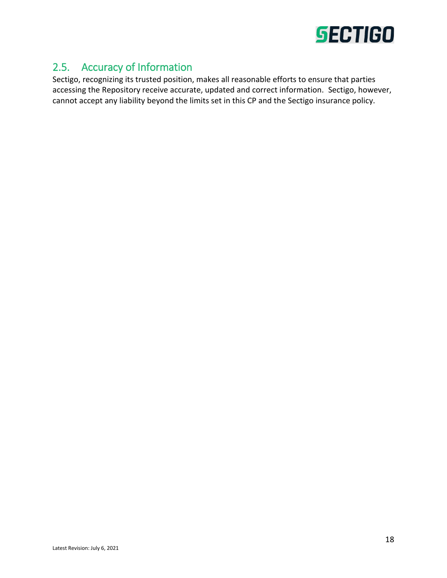

# <span id="page-17-0"></span>2.5. Accuracy of Information

Sectigo, recognizing its trusted position, makes all reasonable efforts to ensure that parties accessing the Repository receive accurate, updated and correct information. Sectigo, however, cannot accept any liability beyond the limits set in this CP and the Sectigo insurance policy.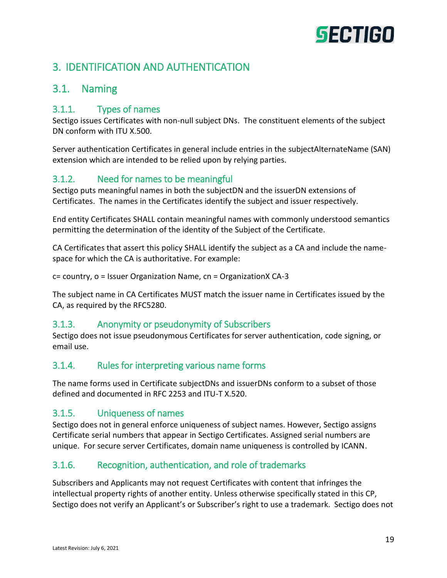# <span id="page-18-0"></span>3. IDENTIFICATION AND AUTHENTICATION

# <span id="page-18-1"></span>3.1. Naming

#### <span id="page-18-2"></span>3.1.1. Types of names

Sectigo issues Certificates with non-null subject DNs. The constituent elements of the subject DN conform with ITU X.500.

Server authentication Certificates in general include entries in the subjectAlternateName (SAN) extension which are intended to be relied upon by relying parties.

# <span id="page-18-3"></span>3.1.2. Need for names to be meaningful

Sectigo puts meaningful names in both the subjectDN and the issuerDN extensions of Certificates. The names in the Certificates identify the subject and issuer respectively.

End entity Certificates SHALL contain meaningful names with commonly understood semantics permitting the determination of the identity of the Subject of the Certificate.

CA Certificates that assert this policy SHALL identify the subject as a CA and include the namespace for which the CA is authoritative. For example:

c= country, o = Issuer Organization Name, cn = OrganizationX CA-3

The subject name in CA Certificates MUST match the issuer name in Certificates issued by the CA, as required by the RFC5280.

# <span id="page-18-4"></span>3.1.3. Anonymity or pseudonymity of Subscribers

Sectigo does not issue pseudonymous Certificates for server authentication, code signing, or email use.

# <span id="page-18-5"></span>3.1.4. Rules for interpreting various name forms

The name forms used in Certificate subjectDNs and issuerDNs conform to a subset of those defined and documented in RFC 2253 and ITU-T X.520.

# <span id="page-18-6"></span>3.1.5. Uniqueness of names

Sectigo does not in general enforce uniqueness of subject names. However, Sectigo assigns Certificate serial numbers that appear in Sectigo Certificates. Assigned serial numbers are unique. For secure server Certificates, domain name uniqueness is controlled by ICANN.

# <span id="page-18-7"></span>3.1.6. Recognition, authentication, and role of trademarks

Subscribers and Applicants may not request Certificates with content that infringes the intellectual property rights of another entity. Unless otherwise specifically stated in this CP, Sectigo does not verify an Applicant's or Subscriber's right to use a trademark. Sectigo does not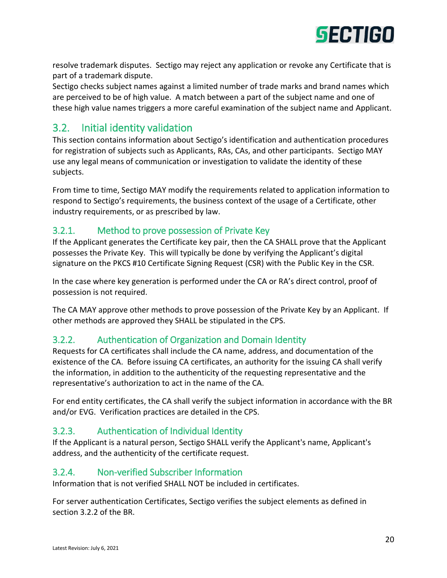

resolve trademark disputes. Sectigo may reject any application or revoke any Certificate that is part of a trademark dispute.

Sectigo checks subject names against a limited number of trade marks and brand names which are perceived to be of high value. A match between a part of the subject name and one of these high value names triggers a more careful examination of the subject name and Applicant.

# <span id="page-19-0"></span>3.2. Initial identity validation

This section contains information about Sectigo's identification and authentication procedures for registration of subjects such as Applicants, RAs, CAs, and other participants. Sectigo MAY use any legal means of communication or investigation to validate the identity of these subjects.

From time to time, Sectigo MAY modify the requirements related to application information to respond to Sectigo's requirements, the business context of the usage of a Certificate, other industry requirements, or as prescribed by law.

### <span id="page-19-1"></span>3.2.1. Method to prove possession of Private Key

If the Applicant generates the Certificate key pair, then the CA SHALL prove that the Applicant possesses the Private Key. This will typically be done by verifying the Applicant's digital signature on the PKCS #10 Certificate Signing Request (CSR) with the Public Key in the CSR.

In the case where key generation is performed under the CA or RA's direct control, proof of possession is not required.

The CA MAY approve other methods to prove possession of the Private Key by an Applicant. If other methods are approved they SHALL be stipulated in the CPS.

# <span id="page-19-2"></span>3.2.2. Authentication of Organization and Domain Identity

Requests for CA certificates shall include the CA name, address, and documentation of the existence of the CA. Before issuing CA certificates, an authority for the issuing CA shall verify the information, in addition to the authenticity of the requesting representative and the representative's authorization to act in the name of the CA.

For end entity certificates, the CA shall verify the subject information in accordance with the BR and/or EVG. Verification practices are detailed in the CPS.

#### <span id="page-19-3"></span>3.2.3. Authentication of Individual Identity

If the Applicant is a natural person, Sectigo SHALL verify the Applicant's name, Applicant's address, and the authenticity of the certificate request.

#### <span id="page-19-4"></span>3.2.4. Non-verified Subscriber Information

Information that is not verified SHALL NOT be included in certificates.

For server authentication Certificates, Sectigo verifies the subject elements as defined in section 3.2.2 of the BR.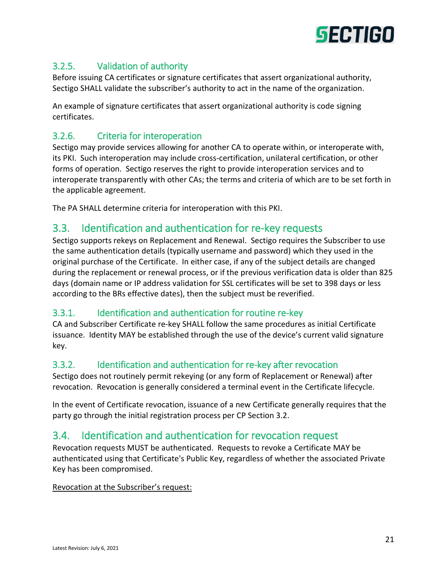

# <span id="page-20-0"></span>3.2.5. Validation of authority

Before issuing CA certificates or signature certificates that assert organizational authority, Sectigo SHALL validate the subscriber's authority to act in the name of the organization.

An example of signature certificates that assert organizational authority is code signing certificates.

### <span id="page-20-1"></span>3.2.6. Criteria for interoperation

Sectigo may provide services allowing for another CA to operate within, or interoperate with, its PKI. Such interoperation may include cross-certification, unilateral certification, or other forms of operation. Sectigo reserves the right to provide interoperation services and to interoperate transparently with other CAs; the terms and criteria of which are to be set forth in the applicable agreement.

The PA SHALL determine criteria for interoperation with this PKI.

# <span id="page-20-2"></span>3.3. Identification and authentication for re-key requests

Sectigo supports rekeys on Replacement and Renewal. Sectigo requires the Subscriber to use the same authentication details (typically username and password) which they used in the original purchase of the Certificate. In either case, if any of the subject details are changed during the replacement or renewal process, or if the previous verification data is older than 825 days (domain name or IP address validation for SSL certificates will be set to 398 days or less according to the BRs effective dates), then the subject must be reverified.

#### <span id="page-20-3"></span>3.3.1. Identification and authentication for routine re-key

CA and Subscriber Certificate re-key SHALL follow the same procedures as initial Certificate issuance. Identity MAY be established through the use of the device's current valid signature key.

#### <span id="page-20-4"></span>3.3.2. Identification and authentication for re-key after revocation

Sectigo does not routinely permit rekeying (or any form of Replacement or Renewal) after revocation. Revocation is generally considered a terminal event in the Certificate lifecycle.

In the event of Certificate revocation, issuance of a new Certificate generally requires that the party go through the initial registration process per CP Section 3.2.

# <span id="page-20-5"></span>3.4. Identification and authentication for revocation request

Revocation requests MUST be authenticated. Requests to revoke a Certificate MAY be authenticated using that Certificate's Public Key, regardless of whether the associated Private Key has been compromised.

#### Revocation at the Subscriber's request: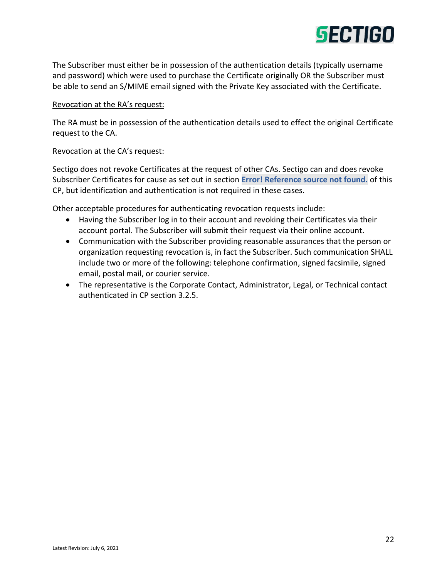

The Subscriber must either be in possession of the authentication details (typically username and password) which were used to purchase the Certificate originally OR the Subscriber must be able to send an S/MIME email signed with the Private Key associated with the Certificate.

#### Revocation at the RA's request:

The RA must be in possession of the authentication details used to effect the original Certificate request to the CA.

#### Revocation at the CA's request:

Sectigo does not revoke Certificates at the request of other CAs. Sectigo can and does revoke Subscriber Certificates for cause as set out in section **Error! Reference source not found.** of this CP, but identification and authentication is not required in these cases.

Other acceptable procedures for authenticating revocation requests include:

- Having the Subscriber log in to their account and revoking their Certificates via their account portal. The Subscriber will submit their request via their online account.
- Communication with the Subscriber providing reasonable assurances that the person or organization requesting revocation is, in fact the Subscriber. Such communication SHALL include two or more of the following: telephone confirmation, signed facsimile, signed email, postal mail, or courier service.
- The representative is the Corporate Contact, Administrator, Legal, or Technical contact authenticated in CP section 3.2.5.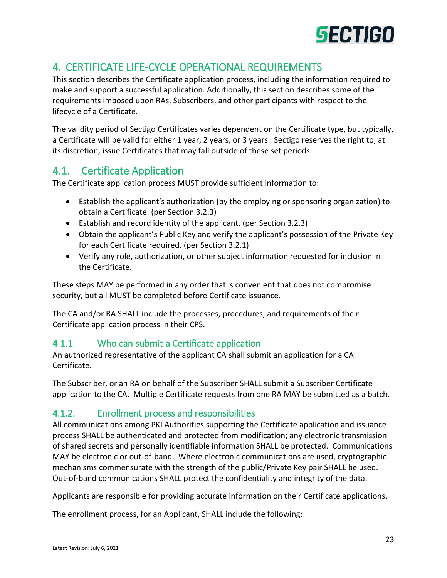

# <span id="page-22-0"></span>4. CERTIFICATE LIFE-CYCLE OPERATIONAL REQUIREMENTS

This section describes the Certificate application process, including the information required to make and support a successful application. Additionally, this section describes some of the requirements imposed upon RAs, Subscribers, and other participants with respect to the lifecycle of a Certificate.

The validity period of Sectigo Certificates varies dependent on the Certificate type, but typically, a Certificate will be valid for either 1 year, 2 years, or 3 years. Sectigo reserves the right to, at its discretion, issue Certificates that may fall outside of these set periods.

# <span id="page-22-1"></span>4.1. Certificate Application

The Certificate application process MUST provide sufficient information to:

- Establish the applicant's authorization (by the employing or sponsoring organization) to obtain a Certificate. (per Section 3.2.3)
- Establish and record identity of the applicant. (per Section 3.2.3)
- Obtain the applicant's Public Key and verify the applicant's possession of the Private Key for each Certificate required. (per Section 3.2.1)
- Verify any role, authorization, or other subject information requested for inclusion in the Certificate.

These steps MAY be performed in any order that is convenient that does not compromise security, but all MUST be completed before Certificate issuance.

The CA and/or RA SHALL include the processes, procedures, and requirements of their Certificate application process in their CPS.

# <span id="page-22-2"></span>4.1.1. Who can submit a Certificate application

An authorized representative of the applicant CA shall submit an application for a CA Certificate.

The Subscriber, or an RA on behalf of the Subscriber SHALL submit a Subscriber Certificate application to the CA. Multiple Certificate requests from one RA MAY be submitted as a batch.

# <span id="page-22-3"></span>4.1.2. Enrollment process and responsibilities

All communications among PKI Authorities supporting the Certificate application and issuance process SHALL be authenticated and protected from modification; any electronic transmission of shared secrets and personally identifiable information SHALL be protected. Communications MAY be electronic or out-of-band. Where electronic communications are used, cryptographic mechanisms commensurate with the strength of the public/Private Key pair SHALL be used. Out-of-band communications SHALL protect the confidentiality and integrity of the data.

Applicants are responsible for providing accurate information on their Certificate applications.

The enrollment process, for an Applicant, SHALL include the following: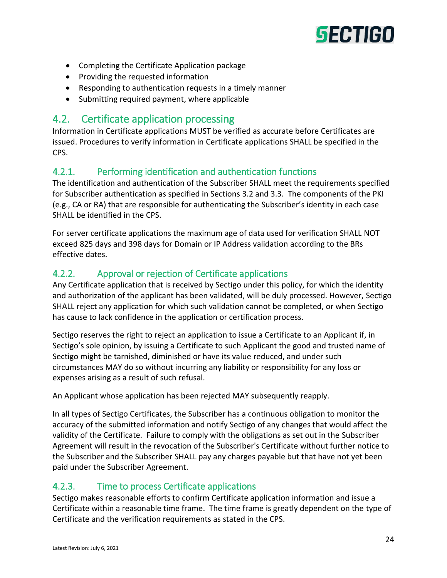

- Completing the Certificate Application package
- Providing the requested information
- Responding to authentication requests in a timely manner
- Submitting required payment, where applicable

# <span id="page-23-0"></span>4.2. Certificate application processing

Information in Certificate applications MUST be verified as accurate before Certificates are issued. Procedures to verify information in Certificate applications SHALL be specified in the CPS.

#### <span id="page-23-1"></span>4.2.1. Performing identification and authentication functions

The identification and authentication of the Subscriber SHALL meet the requirements specified for Subscriber authentication as specified in Sections 3.2 and 3.3. The components of the PKI (e.g., CA or RA) that are responsible for authenticating the Subscriber's identity in each case SHALL be identified in the CPS.

For server certificate applications the maximum age of data used for verification SHALL NOT exceed 825 days and 398 days for Domain or IP Address validation according to the BRs effective dates.

#### <span id="page-23-2"></span>4.2.2. Approval or rejection of Certificate applications

Any Certificate application that is received by Sectigo under this policy, for which the identity and authorization of the applicant has been validated, will be duly processed. However, Sectigo SHALL reject any application for which such validation cannot be completed, or when Sectigo has cause to lack confidence in the application or certification process.

Sectigo reserves the right to reject an application to issue a Certificate to an Applicant if, in Sectigo's sole opinion, by issuing a Certificate to such Applicant the good and trusted name of Sectigo might be tarnished, diminished or have its value reduced, and under such circumstances MAY do so without incurring any liability or responsibility for any loss or expenses arising as a result of such refusal.

An Applicant whose application has been rejected MAY subsequently reapply.

In all types of Sectigo Certificates, the Subscriber has a continuous obligation to monitor the accuracy of the submitted information and notify Sectigo of any changes that would affect the validity of the Certificate. Failure to comply with the obligations as set out in the Subscriber Agreement will result in the revocation of the Subscriber's Certificate without further notice to the Subscriber and the Subscriber SHALL pay any charges payable but that have not yet been paid under the Subscriber Agreement.

#### <span id="page-23-3"></span>4.2.3. Time to process Certificate applications

Sectigo makes reasonable efforts to confirm Certificate application information and issue a Certificate within a reasonable time frame. The time frame is greatly dependent on the type of Certificate and the verification requirements as stated in the CPS.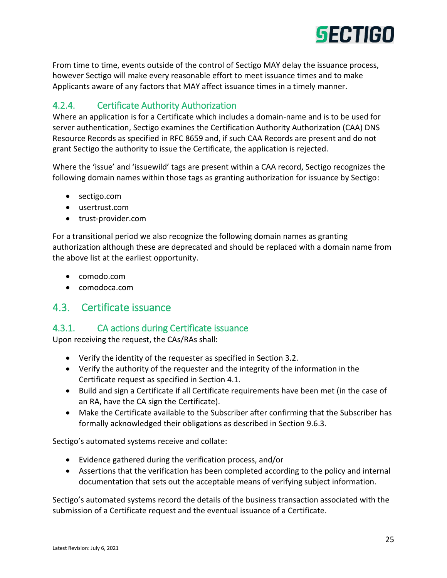

From time to time, events outside of the control of Sectigo MAY delay the issuance process, however Sectigo will make every reasonable effort to meet issuance times and to make Applicants aware of any factors that MAY affect issuance times in a timely manner.

# <span id="page-24-0"></span>4.2.4. Certificate Authority Authorization

Where an application is for a Certificate which includes a domain-name and is to be used for server authentication, Sectigo examines the Certification Authority Authorization (CAA) DNS Resource Records as specified in RFC 8659 and, if such CAA Records are present and do not grant Sectigo the authority to issue the Certificate, the application is rejected.

Where the 'issue' and 'issuewild' tags are present within a CAA record, Sectigo recognizes the following domain names within those tags as granting authorization for issuance by Sectigo:

- sectigo.com
- usertrust.com
- trust-provider.com

For a transitional period we also recognize the following domain names as granting authorization although these are deprecated and should be replaced with a domain name from the above list at the earliest opportunity.

- comodo.com
- comodoca.com

# <span id="page-24-1"></span>4.3. Certificate issuance

#### <span id="page-24-2"></span>4.3.1. CA actions during Certificate issuance

Upon receiving the request, the CAs/RAs shall:

- Verify the identity of the requester as specified in Section 3.2.
- Verify the authority of the requester and the integrity of the information in the Certificate request as specified in Section 4.1.
- Build and sign a Certificate if all Certificate requirements have been met (in the case of an RA, have the CA sign the Certificate).
- Make the Certificate available to the Subscriber after confirming that the Subscriber has formally acknowledged their obligations as described in Section 9.6.3.

Sectigo's automated systems receive and collate:

- Evidence gathered during the verification process, and/or
- Assertions that the verification has been completed according to the policy and internal documentation that sets out the acceptable means of verifying subject information.

Sectigo's automated systems record the details of the business transaction associated with the submission of a Certificate request and the eventual issuance of a Certificate.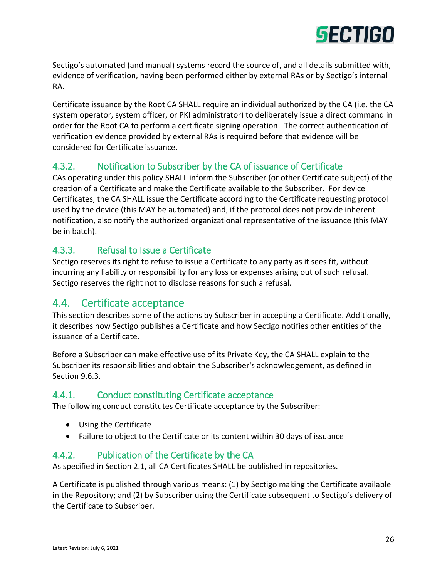

Sectigo's automated (and manual) systems record the source of, and all details submitted with, evidence of verification, having been performed either by external RAs or by Sectigo's internal RA.

Certificate issuance by the Root CA SHALL require an individual authorized by the CA (i.e. the CA system operator, system officer, or PKI administrator) to deliberately issue a direct command in order for the Root CA to perform a certificate signing operation. The correct authentication of verification evidence provided by external RAs is required before that evidence will be considered for Certificate issuance.

# <span id="page-25-0"></span>4.3.2. Notification to Subscriber by the CA of issuance of Certificate

CAs operating under this policy SHALL inform the Subscriber (or other Certificate subject) of the creation of a Certificate and make the Certificate available to the Subscriber. For device Certificates, the CA SHALL issue the Certificate according to the Certificate requesting protocol used by the device (this MAY be automated) and, if the protocol does not provide inherent notification, also notify the authorized organizational representative of the issuance (this MAY be in batch).

### <span id="page-25-1"></span>4.3.3. Refusal to Issue a Certificate

Sectigo reserves its right to refuse to issue a Certificate to any party as it sees fit, without incurring any liability or responsibility for any loss or expenses arising out of such refusal. Sectigo reserves the right not to disclose reasons for such a refusal.

# <span id="page-25-2"></span>4.4. Certificate acceptance

This section describes some of the actions by Subscriber in accepting a Certificate. Additionally, it describes how Sectigo publishes a Certificate and how Sectigo notifies other entities of the issuance of a Certificate.

Before a Subscriber can make effective use of its Private Key, the CA SHALL explain to the Subscriber its responsibilities and obtain the Subscriber's acknowledgement, as defined in Section 9.6.3.

#### <span id="page-25-3"></span>4.4.1. Conduct constituting Certificate acceptance

The following conduct constitutes Certificate acceptance by the Subscriber:

- Using the Certificate
- Failure to object to the Certificate or its content within 30 days of issuance

#### <span id="page-25-4"></span>4.4.2. Publication of the Certificate by the CA

As specified in Section 2.1, all CA Certificates SHALL be published in repositories.

A Certificate is published through various means: (1) by Sectigo making the Certificate available in the Repository; and (2) by Subscriber using the Certificate subsequent to Sectigo's delivery of the Certificate to Subscriber.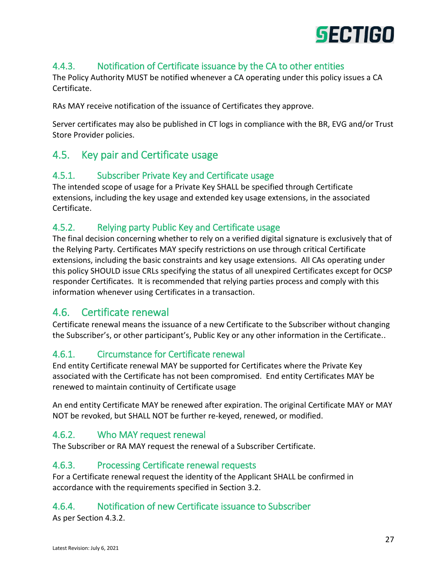

# <span id="page-26-0"></span>4.4.3. Notification of Certificate issuance by the CA to other entities

The Policy Authority MUST be notified whenever a CA operating under this policy issues a CA Certificate.

RAs MAY receive notification of the issuance of Certificates they approve.

Server certificates may also be published in CT logs in compliance with the BR, EVG and/or Trust Store Provider policies.

# <span id="page-26-1"></span>4.5. Key pair and Certificate usage

#### <span id="page-26-2"></span>4.5.1. Subscriber Private Key and Certificate usage

The intended scope of usage for a Private Key SHALL be specified through Certificate extensions, including the key usage and extended key usage extensions, in the associated Certificate.

#### <span id="page-26-3"></span>4.5.2. Relying party Public Key and Certificate usage

The final decision concerning whether to rely on a verified digital signature is exclusively that of the Relying Party. Certificates MAY specify restrictions on use through critical Certificate extensions, including the basic constraints and key usage extensions. All CAs operating under this policy SHOULD issue CRLs specifying the status of all unexpired Certificates except for OCSP responder Certificates. It is recommended that relying parties process and comply with this information whenever using Certificates in a transaction.

# <span id="page-26-4"></span>4.6. Certificate renewal

Certificate renewal means the issuance of a new Certificate to the Subscriber without changing the Subscriber's, or other participant's, Public Key or any other information in the Certificate..

#### <span id="page-26-5"></span>4.6.1. Circumstance for Certificate renewal

End entity Certificate renewal MAY be supported for Certificates where the Private Key associated with the Certificate has not been compromised. End entity Certificates MAY be renewed to maintain continuity of Certificate usage

An end entity Certificate MAY be renewed after expiration. The original Certificate MAY or MAY NOT be revoked, but SHALL NOT be further re-keyed, renewed, or modified.

#### <span id="page-26-6"></span>4.6.2. Who MAY request renewal

The Subscriber or RA MAY request the renewal of a Subscriber Certificate.

#### <span id="page-26-7"></span>4.6.3. Processing Certificate renewal requests

For a Certificate renewal request the identity of the Applicant SHALL be confirmed in accordance with the requirements specified in Section 3.2.

#### <span id="page-26-8"></span>4.6.4. Notification of new Certificate issuance to Subscriber

As per Section 4.3.2.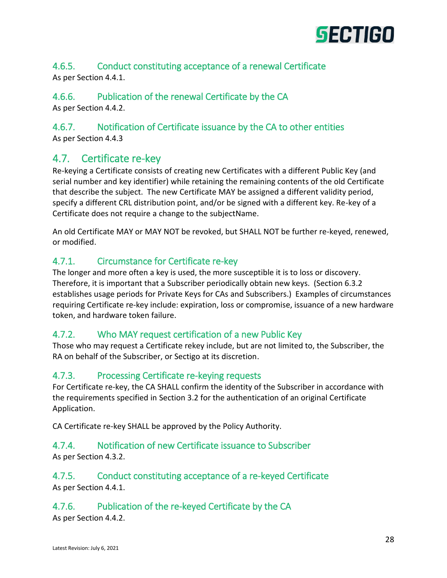

#### <span id="page-27-0"></span>4.6.5. Conduct constituting acceptance of a renewal Certificate As per Section 4.4.1.

# <span id="page-27-1"></span>4.6.6. Publication of the renewal Certificate by the CA

As per Section 4.4.2.

# <span id="page-27-2"></span>4.6.7. Notification of Certificate issuance by the CA to other entities

As per Section 4.4.3

# <span id="page-27-3"></span>4.7. Certificate re-key

Re-keying a Certificate consists of creating new Certificates with a different Public Key (and serial number and key identifier) while retaining the remaining contents of the old Certificate that describe the subject. The new Certificate MAY be assigned a different validity period, specify a different CRL distribution point, and/or be signed with a different key. Re-key of a Certificate does not require a change to the subjectName.

An old Certificate MAY or MAY NOT be revoked, but SHALL NOT be further re-keyed, renewed, or modified.

# <span id="page-27-4"></span>4.7.1. Circumstance for Certificate re-key

The longer and more often a key is used, the more susceptible it is to loss or discovery. Therefore, it is important that a Subscriber periodically obtain new keys. (Section 6.3.2 establishes usage periods for Private Keys for CAs and Subscribers.) Examples of circumstances requiring Certificate re-key include: expiration, loss or compromise, issuance of a new hardware token, and hardware token failure.

# <span id="page-27-5"></span>4.7.2. Who MAY request certification of a new Public Key

Those who may request a Certificate rekey include, but are not limited to, the Subscriber, the RA on behalf of the Subscriber, or Sectigo at its discretion.

# <span id="page-27-6"></span>4.7.3. Processing Certificate re-keying requests

For Certificate re-key, the CA SHALL confirm the identity of the Subscriber in accordance with the requirements specified in Section 3.2 for the authentication of an original Certificate Application.

CA Certificate re-key SHALL be approved by the Policy Authority.

# <span id="page-27-7"></span>4.7.4. Notification of new Certificate issuance to Subscriber

As per Section 4.3.2.

#### <span id="page-27-8"></span>4.7.5. Conduct constituting acceptance of a re-keyed Certificate As per Section 4.4.1.

# <span id="page-27-9"></span>4.7.6. Publication of the re-keyed Certificate by the CA

As per Section 4.4.2.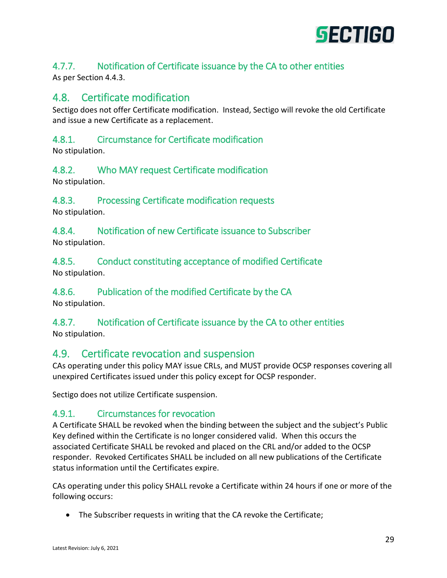

# <span id="page-28-0"></span>4.7.7. Notification of Certificate issuance by the CA to other entities

As per Section 4.4.3.

# <span id="page-28-1"></span>4.8. Certificate modification

Sectigo does not offer Certificate modification. Instead, Sectigo will revoke the old Certificate and issue a new Certificate as a replacement.

### <span id="page-28-2"></span>4.8.1. Circumstance for Certificate modification

No stipulation.

#### <span id="page-28-3"></span>4.8.2. Who MAY request Certificate modification

No stipulation.

#### <span id="page-28-4"></span>4.8.3. Processing Certificate modification requests

No stipulation.

<span id="page-28-5"></span>4.8.4. Notification of new Certificate issuance to Subscriber No stipulation.

<span id="page-28-6"></span>4.8.5. Conduct constituting acceptance of modified Certificate No stipulation.

# <span id="page-28-7"></span>4.8.6. Publication of the modified Certificate by the CA

No stipulation.

#### <span id="page-28-8"></span>4.8.7. Notification of Certificate issuance by the CA to other entities No stipulation.

# <span id="page-28-9"></span>4.9. Certificate revocation and suspension

CAs operating under this policy MAY issue CRLs, and MUST provide OCSP responses covering all unexpired Certificates issued under this policy except for OCSP responder.

Sectigo does not utilize Certificate suspension.

#### <span id="page-28-10"></span>4.9.1. Circumstances for revocation

A Certificate SHALL be revoked when the binding between the subject and the subject's Public Key defined within the Certificate is no longer considered valid. When this occurs the associated Certificate SHALL be revoked and placed on the CRL and/or added to the OCSP responder. Revoked Certificates SHALL be included on all new publications of the Certificate status information until the Certificates expire.

CAs operating under this policy SHALL revoke a Certificate within 24 hours if one or more of the following occurs:

• The Subscriber requests in writing that the CA revoke the Certificate;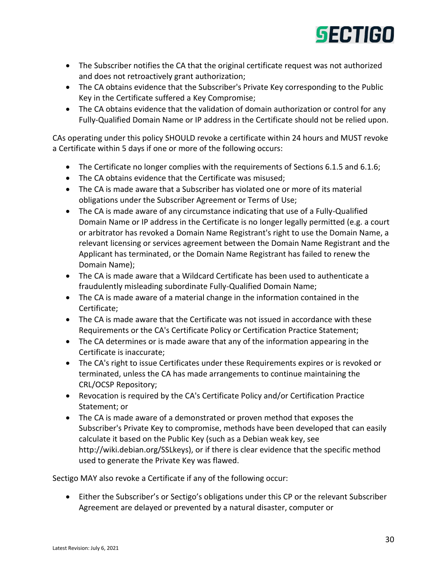

- The Subscriber notifies the CA that the original certificate request was not authorized and does not retroactively grant authorization;
- The CA obtains evidence that the Subscriber's Private Key corresponding to the Public Key in the Certificate suffered a Key Compromise;
- The CA obtains evidence that the validation of domain authorization or control for any Fully-Qualified Domain Name or IP address in the Certificate should not be relied upon.

CAs operating under this policy SHOULD revoke a certificate within 24 hours and MUST revoke a Certificate within 5 days if one or more of the following occurs:

- The Certificate no longer complies with the requirements of Sections 6.1.5 and 6.1.6;
- The CA obtains evidence that the Certificate was misused;
- The CA is made aware that a Subscriber has violated one or more of its material obligations under the Subscriber Agreement or Terms of Use;
- The CA is made aware of any circumstance indicating that use of a Fully-Qualified Domain Name or IP address in the Certificate is no longer legally permitted (e.g. a court or arbitrator has revoked a Domain Name Registrant's right to use the Domain Name, a relevant licensing or services agreement between the Domain Name Registrant and the Applicant has terminated, or the Domain Name Registrant has failed to renew the Domain Name);
- The CA is made aware that a Wildcard Certificate has been used to authenticate a fraudulently misleading subordinate Fully-Qualified Domain Name;
- The CA is made aware of a material change in the information contained in the Certificate;
- The CA is made aware that the Certificate was not issued in accordance with these Requirements or the CA's Certificate Policy or Certification Practice Statement;
- The CA determines or is made aware that any of the information appearing in the Certificate is inaccurate;
- The CA's right to issue Certificates under these Requirements expires or is revoked or terminated, unless the CA has made arrangements to continue maintaining the CRL/OCSP Repository;
- Revocation is required by the CA's Certificate Policy and/or Certification Practice Statement; or
- The CA is made aware of a demonstrated or proven method that exposes the Subscriber's Private Key to compromise, methods have been developed that can easily calculate it based on the Public Key (such as a Debian weak key, see http://wiki.debian.org/SSLkeys), or if there is clear evidence that the specific method used to generate the Private Key was flawed.

Sectigo MAY also revoke a Certificate if any of the following occur:

 Either the Subscriber's or Sectigo's obligations under this CP or the relevant Subscriber Agreement are delayed or prevented by a natural disaster, computer or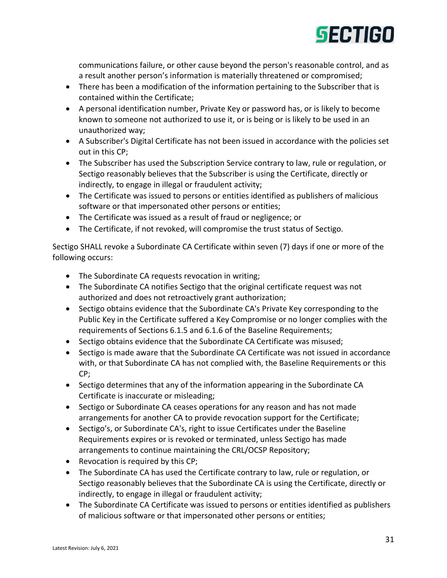

communications failure, or other cause beyond the person's reasonable control, and as a result another person's information is materially threatened or compromised;

- There has been a modification of the information pertaining to the Subscriber that is contained within the Certificate;
- A personal identification number, Private Key or password has, or is likely to become known to someone not authorized to use it, or is being or is likely to be used in an unauthorized way;
- A Subscriber's Digital Certificate has not been issued in accordance with the policies set out in this CP;
- The Subscriber has used the Subscription Service contrary to law, rule or regulation, or Sectigo reasonably believes that the Subscriber is using the Certificate, directly or indirectly, to engage in illegal or fraudulent activity;
- The Certificate was issued to persons or entities identified as publishers of malicious software or that impersonated other persons or entities;
- The Certificate was issued as a result of fraud or negligence; or
- The Certificate, if not revoked, will compromise the trust status of Sectigo.

Sectigo SHALL revoke a Subordinate CA Certificate within seven (7) days if one or more of the following occurs:

- The Subordinate CA requests revocation in writing;
- The Subordinate CA notifies Sectigo that the original certificate request was not authorized and does not retroactively grant authorization;
- Sectigo obtains evidence that the Subordinate CA's Private Key corresponding to the Public Key in the Certificate suffered a Key Compromise or no longer complies with the requirements of Sections 6.1.5 and 6.1.6 of the Baseline Requirements;
- Sectigo obtains evidence that the Subordinate CA Certificate was misused;
- Sectigo is made aware that the Subordinate CA Certificate was not issued in accordance with, or that Subordinate CA has not complied with, the Baseline Requirements or this CP;
- Sectigo determines that any of the information appearing in the Subordinate CA Certificate is inaccurate or misleading;
- Sectigo or Subordinate CA ceases operations for any reason and has not made arrangements for another CA to provide revocation support for the Certificate;
- Sectigo's, or Subordinate CA's, right to issue Certificates under the Baseline Requirements expires or is revoked or terminated, unless Sectigo has made arrangements to continue maintaining the CRL/OCSP Repository;
- Revocation is required by this CP;
- The Subordinate CA has used the Certificate contrary to law, rule or regulation, or Sectigo reasonably believes that the Subordinate CA is using the Certificate, directly or indirectly, to engage in illegal or fraudulent activity;
- The Subordinate CA Certificate was issued to persons or entities identified as publishers of malicious software or that impersonated other persons or entities;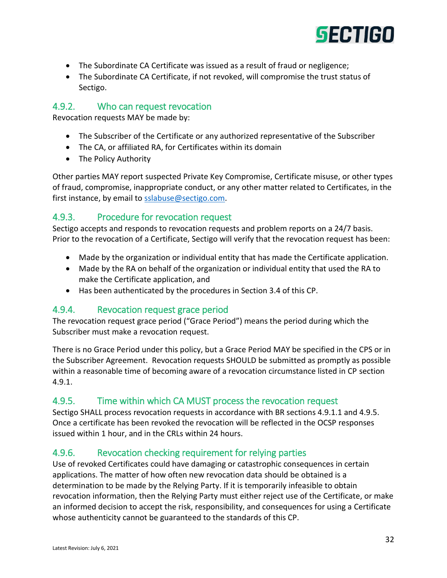

- The Subordinate CA Certificate was issued as a result of fraud or negligence;
- The Subordinate CA Certificate, if not revoked, will compromise the trust status of Sectigo.

#### <span id="page-31-0"></span>4.9.2. Who can request revocation

Revocation requests MAY be made by:

- The Subscriber of the Certificate or any authorized representative of the Subscriber
- The CA, or affiliated RA, for Certificates within its domain
- The Policy Authority

Other parties MAY report suspected Private Key Compromise, Certificate misuse, or other types of fraud, compromise, inappropriate conduct, or any other matter related to Certificates, in the first instance, by email to [sslabuse@sectigo.com.](mailto:sslabuse@sectigo.com)

#### <span id="page-31-1"></span>4.9.3. Procedure for revocation request

Sectigo accepts and responds to revocation requests and problem reports on a 24/7 basis. Prior to the revocation of a Certificate, Sectigo will verify that the revocation request has been:

- Made by the organization or individual entity that has made the Certificate application.
- Made by the RA on behalf of the organization or individual entity that used the RA to make the Certificate application, and
- Has been authenticated by the procedures in Section 3.4 of this CP.

#### <span id="page-31-2"></span>4.9.4. Revocation request grace period

The revocation request grace period ("Grace Period") means the period during which the Subscriber must make a revocation request.

There is no Grace Period under this policy, but a Grace Period MAY be specified in the CPS or in the Subscriber Agreement. Revocation requests SHOULD be submitted as promptly as possible within a reasonable time of becoming aware of a revocation circumstance listed in CP section 4.9.1.

#### <span id="page-31-3"></span>4.9.5. Time within which CA MUST process the revocation request

Sectigo SHALL process revocation requests in accordance with BR sections 4.9.1.1 and 4.9.5. Once a certificate has been revoked the revocation will be reflected in the OCSP responses issued within 1 hour, and in the CRLs within 24 hours.

#### <span id="page-31-4"></span>4.9.6. Revocation checking requirement for relying parties

Use of revoked Certificates could have damaging or catastrophic consequences in certain applications. The matter of how often new revocation data should be obtained is a determination to be made by the Relying Party. If it is temporarily infeasible to obtain revocation information, then the Relying Party must either reject use of the Certificate, or make an informed decision to accept the risk, responsibility, and consequences for using a Certificate whose authenticity cannot be guaranteed to the standards of this CP.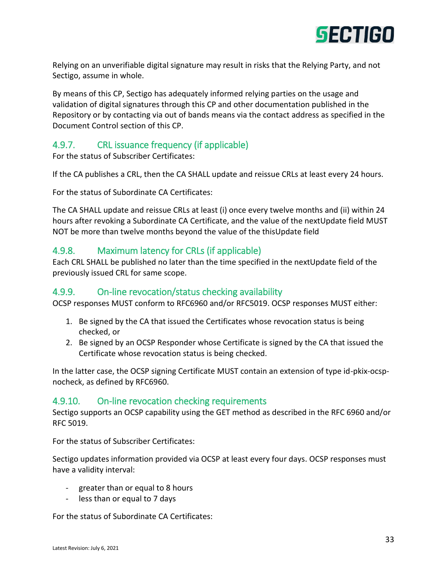

Relying on an unverifiable digital signature may result in risks that the Relying Party, and not Sectigo, assume in whole.

By means of this CP, Sectigo has adequately informed relying parties on the usage and validation of digital signatures through this CP and other documentation published in the Repository or by contacting via out of bands means via the contact address as specified in the Document Control section of this CP.

#### <span id="page-32-0"></span>4.9.7. CRL issuance frequency (if applicable)

For the status of Subscriber Certificates:

If the CA publishes a CRL, then the CA SHALL update and reissue CRLs at least every 24 hours.

For the status of Subordinate CA Certificates:

The CA SHALL update and reissue CRLs at least (i) once every twelve months and (ii) within 24 hours after revoking a Subordinate CA Certificate, and the value of the nextUpdate field MUST NOT be more than twelve months beyond the value of the thisUpdate field

#### <span id="page-32-1"></span>4.9.8. Maximum latency for CRLs (if applicable)

Each CRL SHALL be published no later than the time specified in the nextUpdate field of the previously issued CRL for same scope.

#### <span id="page-32-2"></span>4.9.9. On-line revocation/status checking availability

OCSP responses MUST conform to RFC6960 and/or RFC5019. OCSP responses MUST either:

- 1. Be signed by the CA that issued the Certificates whose revocation status is being checked, or
- 2. Be signed by an OCSP Responder whose Certificate is signed by the CA that issued the Certificate whose revocation status is being checked.

In the latter case, the OCSP signing Certificate MUST contain an extension of type id-pkix-ocspnocheck, as defined by RFC6960.

#### <span id="page-32-3"></span>4.9.10. On-line revocation checking requirements

Sectigo supports an OCSP capability using the GET method as described in the RFC 6960 and/or RFC 5019.

For the status of Subscriber Certificates:

Sectigo updates information provided via OCSP at least every four days. OCSP responses must have a validity interval:

- greater than or equal to 8 hours
- less than or equal to 7 days

For the status of Subordinate CA Certificates: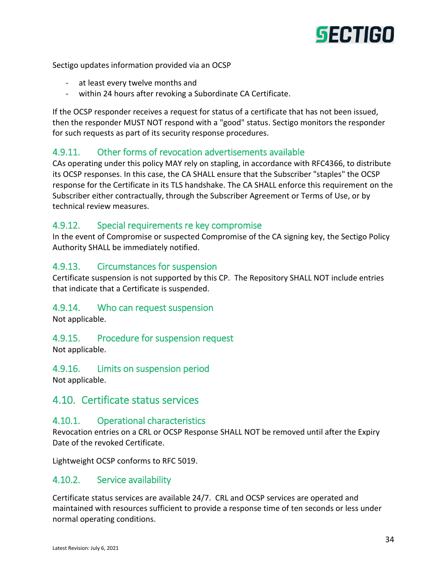

Sectigo updates information provided via an OCSP

- at least every twelve months and
- within 24 hours after revoking a Subordinate CA Certificate.

If the OCSP responder receives a request for status of a certificate that has not been issued, then the responder MUST NOT respond with a "good" status. Sectigo monitors the responder for such requests as part of its security response procedures.

#### <span id="page-33-0"></span>4.9.11. Other forms of revocation advertisements available

CAs operating under this policy MAY rely on stapling, in accordance with RFC4366, to distribute its OCSP responses. In this case, the CA SHALL ensure that the Subscriber "staples" the OCSP response for the Certificate in its TLS handshake. The CA SHALL enforce this requirement on the Subscriber either contractually, through the Subscriber Agreement or Terms of Use, or by technical review measures.

#### <span id="page-33-1"></span>4.9.12. Special requirements re key compromise

In the event of Compromise or suspected Compromise of the CA signing key, the Sectigo Policy Authority SHALL be immediately notified.

#### <span id="page-33-2"></span>4.9.13. Circumstances for suspension

Certificate suspension is not supported by this CP. The Repository SHALL NOT include entries that indicate that a Certificate is suspended.

#### <span id="page-33-3"></span>4.9.14. Who can request suspension

Not applicable.

#### <span id="page-33-4"></span>4.9.15. Procedure for suspension request

Not applicable.

#### <span id="page-33-5"></span>4.9.16. Limits on suspension period

Not applicable.

#### <span id="page-33-6"></span>4.10. Certificate status services

#### <span id="page-33-7"></span>4.10.1. Operational characteristics

Revocation entries on a CRL or OCSP Response SHALL NOT be removed until after the Expiry Date of the revoked Certificate.

Lightweight OCSP conforms to RFC 5019.

#### <span id="page-33-8"></span>4.10.2. Service availability

Certificate status services are available 24/7. CRL and OCSP services are operated and maintained with resources sufficient to provide a response time of ten seconds or less under normal operating conditions.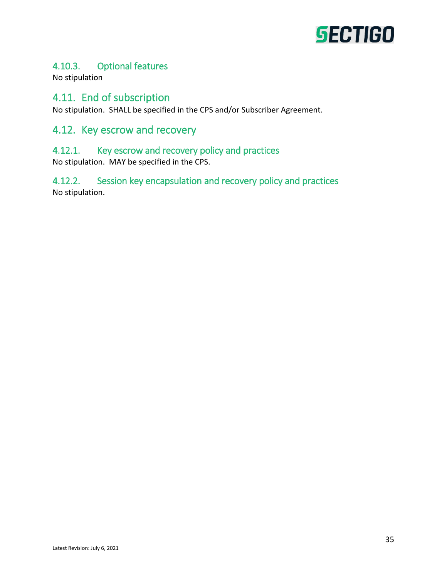

# <span id="page-34-0"></span>4.10.3. Optional features

No stipulation

### <span id="page-34-1"></span>4.11. End of subscription

No stipulation. SHALL be specified in the CPS and/or Subscriber Agreement.

# <span id="page-34-2"></span>4.12. Key escrow and recovery

#### <span id="page-34-3"></span>4.12.1. Key escrow and recovery policy and practices

No stipulation. MAY be specified in the CPS.

<span id="page-34-4"></span>4.12.2. Session key encapsulation and recovery policy and practices No stipulation.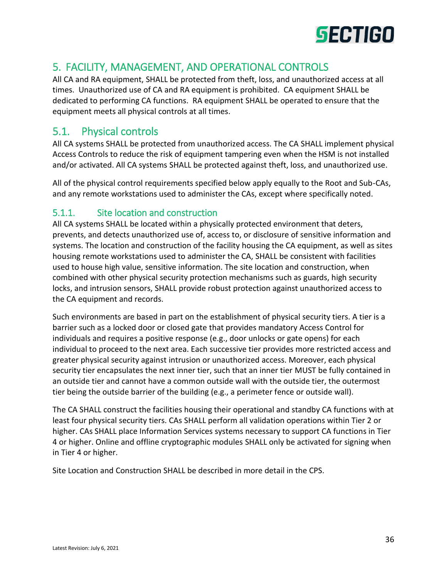

# <span id="page-35-0"></span>5. FACILITY, MANAGEMENT, AND OPERATIONAL CONTROLS

All CA and RA equipment, SHALL be protected from theft, loss, and unauthorized access at all times. Unauthorized use of CA and RA equipment is prohibited. CA equipment SHALL be dedicated to performing CA functions. RA equipment SHALL be operated to ensure that the equipment meets all physical controls at all times.

# <span id="page-35-1"></span>5.1. Physical controls

All CA systems SHALL be protected from unauthorized access. The CA SHALL implement physical Access Controls to reduce the risk of equipment tampering even when the HSM is not installed and/or activated. All CA systems SHALL be protected against theft, loss, and unauthorized use.

All of the physical control requirements specified below apply equally to the Root and Sub-CAs, and any remote workstations used to administer the CAs, except where specifically noted.

#### <span id="page-35-2"></span>5.1.1. Site location and construction

All CA systems SHALL be located within a physically protected environment that deters, prevents, and detects unauthorized use of, access to, or disclosure of sensitive information and systems. The location and construction of the facility housing the CA equipment, as well as sites housing remote workstations used to administer the CA, SHALL be consistent with facilities used to house high value, sensitive information. The site location and construction, when combined with other physical security protection mechanisms such as guards, high security locks, and intrusion sensors, SHALL provide robust protection against unauthorized access to the CA equipment and records.

Such environments are based in part on the establishment of physical security tiers. A tier is a barrier such as a locked door or closed gate that provides mandatory Access Control for individuals and requires a positive response (e.g., door unlocks or gate opens) for each individual to proceed to the next area. Each successive tier provides more restricted access and greater physical security against intrusion or unauthorized access. Moreover, each physical security tier encapsulates the next inner tier, such that an inner tier MUST be fully contained in an outside tier and cannot have a common outside wall with the outside tier, the outermost tier being the outside barrier of the building (e.g., a perimeter fence or outside wall).

The CA SHALL construct the facilities housing their operational and standby CA functions with at least four physical security tiers. CAs SHALL perform all validation operations within Tier 2 or higher. CAs SHALL place Information Services systems necessary to support CA functions in Tier 4 or higher. Online and offline cryptographic modules SHALL only be activated for signing when in Tier 4 or higher.

Site Location and Construction SHALL be described in more detail in the CPS.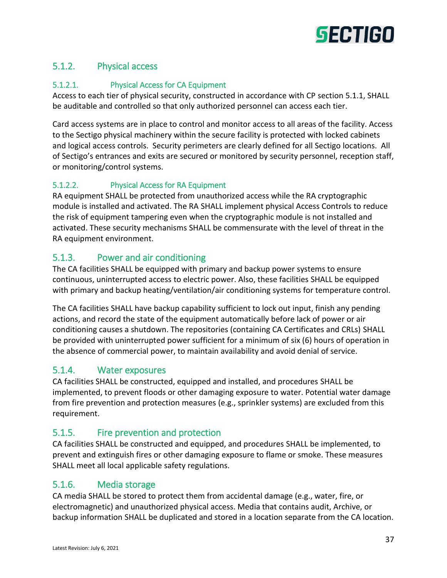

# 5.1.2. Physical access

#### 5.1.2.1. Physical Access for CA Equipment

Access to each tier of physical security, constructed in accordance with CP section 5.1.1, SHALL be auditable and controlled so that only authorized personnel can access each tier.

Card access systems are in place to control and monitor access to all areas of the facility. Access to the Sectigo physical machinery within the secure facility is protected with locked cabinets and logical access controls. Security perimeters are clearly defined for all Sectigo locations. All of Sectigo's entrances and exits are secured or monitored by security personnel, reception staff, or monitoring/control systems.

# 5.1.2.2. Physical Access for RA Equipment

RA equipment SHALL be protected from unauthorized access while the RA cryptographic module is installed and activated. The RA SHALL implement physical Access Controls to reduce the risk of equipment tampering even when the cryptographic module is not installed and activated. These security mechanisms SHALL be commensurate with the level of threat in the RA equipment environment.

# 5.1.3. Power and air conditioning

The CA facilities SHALL be equipped with primary and backup power systems to ensure continuous, uninterrupted access to electric power. Also, these facilities SHALL be equipped with primary and backup heating/ventilation/air conditioning systems for temperature control.

The CA facilities SHALL have backup capability sufficient to lock out input, finish any pending actions, and record the state of the equipment automatically before lack of power or air conditioning causes a shutdown. The repositories (containing CA Certificates and CRLs) SHALL be provided with uninterrupted power sufficient for a minimum of six (6) hours of operation in the absence of commercial power, to maintain availability and avoid denial of service.

# 5.1.4. Water exposures

CA facilities SHALL be constructed, equipped and installed, and procedures SHALL be implemented, to prevent floods or other damaging exposure to water. Potential water damage from fire prevention and protection measures (e.g., sprinkler systems) are excluded from this requirement.

# 5.1.5. Fire prevention and protection

CA facilities SHALL be constructed and equipped, and procedures SHALL be implemented, to prevent and extinguish fires or other damaging exposure to flame or smoke. These measures SHALL meet all local applicable safety regulations.

# 5.1.6. Media storage

CA media SHALL be stored to protect them from accidental damage (e.g., water, fire, or electromagnetic) and unauthorized physical access. Media that contains audit, Archive, or backup information SHALL be duplicated and stored in a location separate from the CA location.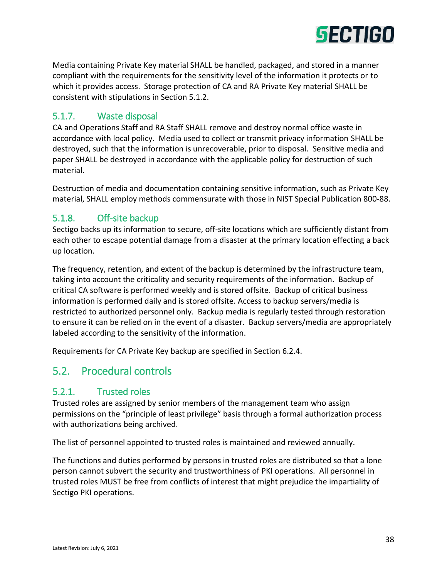

Media containing Private Key material SHALL be handled, packaged, and stored in a manner compliant with the requirements for the sensitivity level of the information it protects or to which it provides access. Storage protection of CA and RA Private Key material SHALL be consistent with stipulations in Section 5.1.2.

#### 5.1.7. Waste disposal

CA and Operations Staff and RA Staff SHALL remove and destroy normal office waste in accordance with local policy. Media used to collect or transmit privacy information SHALL be destroyed, such that the information is unrecoverable, prior to disposal. Sensitive media and paper SHALL be destroyed in accordance with the applicable policy for destruction of such material.

Destruction of media and documentation containing sensitive information, such as Private Key material, SHALL employ methods commensurate with those in NIST Special Publication 800-88.

#### 5.1.8. Off-site backup

Sectigo backs up its information to secure, off-site locations which are sufficiently distant from each other to escape potential damage from a disaster at the primary location effecting a back up location.

The frequency, retention, and extent of the backup is determined by the infrastructure team, taking into account the criticality and security requirements of the information. Backup of critical CA software is performed weekly and is stored offsite. Backup of critical business information is performed daily and is stored offsite. Access to backup servers/media is restricted to authorized personnel only. Backup media is regularly tested through restoration to ensure it can be relied on in the event of a disaster. Backup servers/media are appropriately labeled according to the sensitivity of the information.

Requirements for CA Private Key backup are specified in Section 6.2.4.

# 5.2. Procedural controls

#### 5.2.1. Trusted roles

Trusted roles are assigned by senior members of the management team who assign permissions on the "principle of least privilege" basis through a formal authorization process with authorizations being archived.

The list of personnel appointed to trusted roles is maintained and reviewed annually.

The functions and duties performed by persons in trusted roles are distributed so that a lone person cannot subvert the security and trustworthiness of PKI operations. All personnel in trusted roles MUST be free from conflicts of interest that might prejudice the impartiality of Sectigo PKI operations.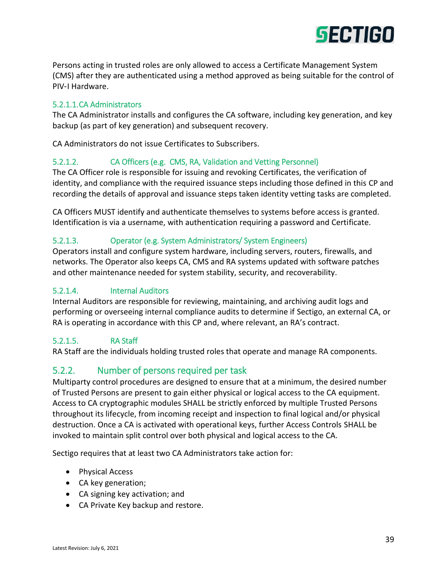

Persons acting in trusted roles are only allowed to access a Certificate Management System (CMS) after they are authenticated using a method approved as being suitable for the control of PIV‐I Hardware.

#### 5.2.1.1.CA Administrators

The CA Administrator installs and configures the CA software, including key generation, and key backup (as part of key generation) and subsequent recovery.

CA Administrators do not issue Certificates to Subscribers.

#### 5.2.1.2. CA Officers (e.g. CMS, RA, Validation and Vetting Personnel)

The CA Officer role is responsible for issuing and revoking Certificates, the verification of identity, and compliance with the required issuance steps including those defined in this CP and recording the details of approval and issuance steps taken identity vetting tasks are completed.

CA Officers MUST identify and authenticate themselves to systems before access is granted. Identification is via a username, with authentication requiring a password and Certificate.

#### 5.2.1.3. Operator (e.g. System Administrators/ System Engineers)

Operators install and configure system hardware, including servers, routers, firewalls, and networks. The Operator also keeps CA, CMS and RA systems updated with software patches and other maintenance needed for system stability, security, and recoverability.

#### 5.2.1.4. Internal Auditors

Internal Auditors are responsible for reviewing, maintaining, and archiving audit logs and performing or overseeing internal compliance audits to determine if Sectigo, an external CA, or RA is operating in accordance with this CP and, where relevant, an RA's contract.

#### 5.2.1.5. RA Staff

RA Staff are the individuals holding trusted roles that operate and manage RA components.

#### 5.2.2. Number of persons required per task

Multiparty control procedures are designed to ensure that at a minimum, the desired number of Trusted Persons are present to gain either physical or logical access to the CA equipment. Access to CA cryptographic modules SHALL be strictly enforced by multiple Trusted Persons throughout its lifecycle, from incoming receipt and inspection to final logical and/or physical destruction. Once a CA is activated with operational keys, further Access Controls SHALL be invoked to maintain split control over both physical and logical access to the CA.

Sectigo requires that at least two CA Administrators take action for:

- Physical Access
- CA key generation;
- CA signing key activation; and
- CA Private Key backup and restore.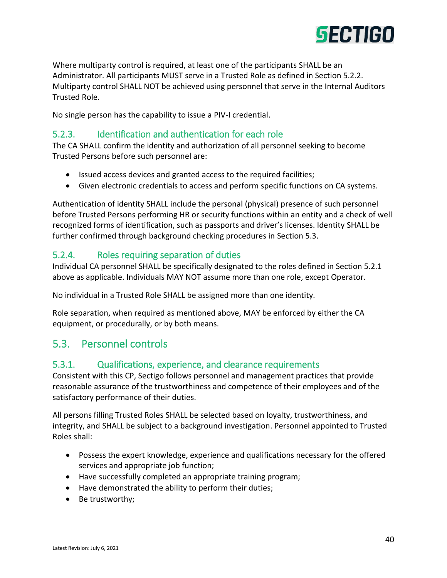

Where multiparty control is required, at least one of the participants SHALL be an Administrator. All participants MUST serve in a Trusted Role as defined in Section 5.2.2. Multiparty control SHALL NOT be achieved using personnel that serve in the Internal Auditors Trusted Role.

No single person has the capability to issue a PIV-I credential.

## 5.2.3. Identification and authentication for each role

The CA SHALL confirm the identity and authorization of all personnel seeking to become Trusted Persons before such personnel are:

- Issued access devices and granted access to the required facilities;
- Given electronic credentials to access and perform specific functions on CA systems.

Authentication of identity SHALL include the personal (physical) presence of such personnel before Trusted Persons performing HR or security functions within an entity and a check of well recognized forms of identification, such as passports and driver's licenses. Identity SHALL be further confirmed through background checking procedures in Section 5.3.

#### 5.2.4. Roles requiring separation of duties

Individual CA personnel SHALL be specifically designated to the roles defined in Section 5.2.1 above as applicable. Individuals MAY NOT assume more than one role, except Operator.

No individual in a Trusted Role SHALL be assigned more than one identity.

Role separation, when required as mentioned above, MAY be enforced by either the CA equipment, or procedurally, or by both means.

# 5.3. Personnel controls

#### 5.3.1. Qualifications, experience, and clearance requirements

Consistent with this CP, Sectigo follows personnel and management practices that provide reasonable assurance of the trustworthiness and competence of their employees and of the satisfactory performance of their duties.

All persons filling Trusted Roles SHALL be selected based on loyalty, trustworthiness, and integrity, and SHALL be subject to a background investigation. Personnel appointed to Trusted Roles shall:

- Possess the expert knowledge, experience and qualifications necessary for the offered services and appropriate job function;
- Have successfully completed an appropriate training program;
- Have demonstrated the ability to perform their duties;
- Be trustworthy;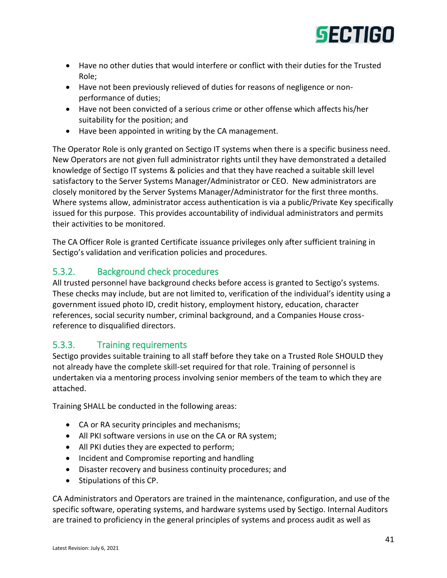

- Have no other duties that would interfere or conflict with their duties for the Trusted Role;
- Have not been previously relieved of duties for reasons of negligence or nonperformance of duties;
- Have not been convicted of a serious crime or other offense which affects his/her suitability for the position; and
- Have been appointed in writing by the CA management.

The Operator Role is only granted on Sectigo IT systems when there is a specific business need. New Operators are not given full administrator rights until they have demonstrated a detailed knowledge of Sectigo IT systems & policies and that they have reached a suitable skill level satisfactory to the Server Systems Manager/Administrator or CEO. New administrators are closely monitored by the Server Systems Manager/Administrator for the first three months. Where systems allow, administrator access authentication is via a public/Private Key specifically issued for this purpose. This provides accountability of individual administrators and permits their activities to be monitored.

The CA Officer Role is granted Certificate issuance privileges only after sufficient training in Sectigo's validation and verification policies and procedures.

# 5.3.2. Background check procedures

All trusted personnel have background checks before access is granted to Sectigo's systems. These checks may include, but are not limited to, verification of the individual's identity using a government issued photo ID, credit history, employment history, education, character references, social security number, criminal background, and a Companies House crossreference to disqualified directors.

# 5.3.3. Training requirements

Sectigo provides suitable training to all staff before they take on a Trusted Role SHOULD they not already have the complete skill-set required for that role. Training of personnel is undertaken via a mentoring process involving senior members of the team to which they are attached.

Training SHALL be conducted in the following areas:

- CA or RA security principles and mechanisms;
- All PKI software versions in use on the CA or RA system;
- All PKI duties they are expected to perform;
- Incident and Compromise reporting and handling
- Disaster recovery and business continuity procedures; and
- Stipulations of this CP.

CA Administrators and Operators are trained in the maintenance, configuration, and use of the specific software, operating systems, and hardware systems used by Sectigo. Internal Auditors are trained to proficiency in the general principles of systems and process audit as well as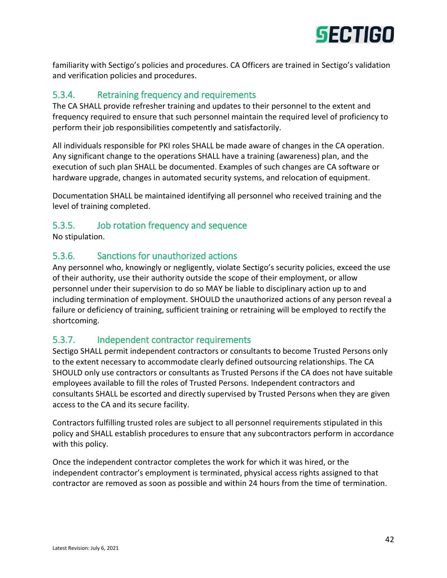

familiarity with Sectigo's policies and procedures. CA Officers are trained in Sectigo's validation and verification policies and procedures.

# 5.3.4. Retraining frequency and requirements

The CA SHALL provide refresher training and updates to their personnel to the extent and frequency required to ensure that such personnel maintain the required level of proficiency to perform their job responsibilities competently and satisfactorily.

All individuals responsible for PKI roles SHALL be made aware of changes in the CA operation. Any significant change to the operations SHALL have a training (awareness) plan, and the execution of such plan SHALL be documented. Examples of such changes are CA software or hardware upgrade, changes in automated security systems, and relocation of equipment.

Documentation SHALL be maintained identifying all personnel who received training and the level of training completed.

# 5.3.5. Job rotation frequency and sequence

No stipulation.

# 5.3.6. Sanctions for unauthorized actions

Any personnel who, knowingly or negligently, violate Sectigo's security policies, exceed the use of their authority, use their authority outside the scope of their employment, or allow personnel under their supervision to do so MAY be liable to disciplinary action up to and including termination of employment. SHOULD the unauthorized actions of any person reveal a failure or deficiency of training, sufficient training or retraining will be employed to rectify the shortcoming.

# 5.3.7. Independent contractor requirements

Sectigo SHALL permit independent contractors or consultants to become Trusted Persons only to the extent necessary to accommodate clearly defined outsourcing relationships. The CA SHOULD only use contractors or consultants as Trusted Persons if the CA does not have suitable employees available to fill the roles of Trusted Persons. Independent contractors and consultants SHALL be escorted and directly supervised by Trusted Persons when they are given access to the CA and its secure facility.

Contractors fulfilling trusted roles are subject to all personnel requirements stipulated in this policy and SHALL establish procedures to ensure that any subcontractors perform in accordance with this policy.

Once the independent contractor completes the work for which it was hired, or the independent contractor's employment is terminated, physical access rights assigned to that contractor are removed as soon as possible and within 24 hours from the time of termination.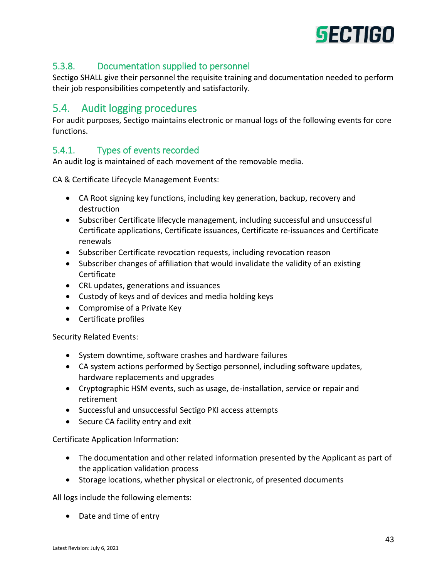

# 5.3.8. Documentation supplied to personnel

Sectigo SHALL give their personnel the requisite training and documentation needed to perform their job responsibilities competently and satisfactorily.

# 5.4. Audit logging procedures

For audit purposes, Sectigo maintains electronic or manual logs of the following events for core functions.

# 5.4.1. Types of events recorded

An audit log is maintained of each movement of the removable media.

CA & Certificate Lifecycle Management Events:

- CA Root signing key functions, including key generation, backup, recovery and destruction
- Subscriber Certificate lifecycle management, including successful and unsuccessful Certificate applications, Certificate issuances, Certificate re-issuances and Certificate renewals
- Subscriber Certificate revocation requests, including revocation reason
- Subscriber changes of affiliation that would invalidate the validity of an existing Certificate
- CRL updates, generations and issuances
- Custody of keys and of devices and media holding keys
- Compromise of a Private Key
- Certificate profiles

Security Related Events:

- System downtime, software crashes and hardware failures
- CA system actions performed by Sectigo personnel, including software updates, hardware replacements and upgrades
- Cryptographic HSM events, such as usage, de-installation, service or repair and retirement
- Successful and unsuccessful Sectigo PKI access attempts
- Secure CA facility entry and exit

Certificate Application Information:

- The documentation and other related information presented by the Applicant as part of the application validation process
- Storage locations, whether physical or electronic, of presented documents

All logs include the following elements:

• Date and time of entry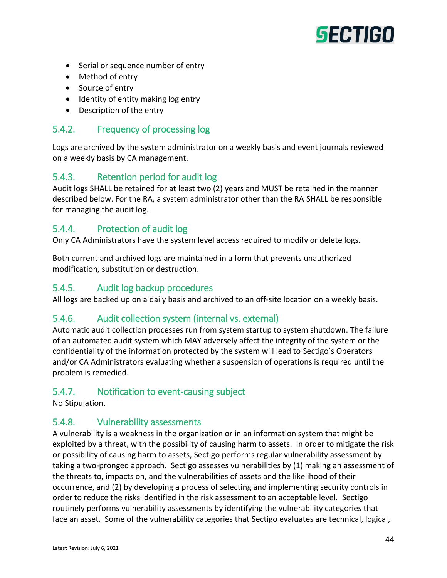# **SECTIGO**

- Serial or sequence number of entry
- Method of entry
- Source of entry
- Identity of entity making log entry
- Description of the entry

#### 5.4.2. Frequency of processing log

Logs are archived by the system administrator on a weekly basis and event journals reviewed on a weekly basis by CA management.

#### 5.4.3. Retention period for audit log

Audit logs SHALL be retained for at least two (2) years and MUST be retained in the manner described below. For the RA, a system administrator other than the RA SHALL be responsible for managing the audit log.

# 5.4.4. Protection of audit log

Only CA Administrators have the system level access required to modify or delete logs.

Both current and archived logs are maintained in a form that prevents unauthorized modification, substitution or destruction.

#### 5.4.5. Audit log backup procedures

All logs are backed up on a daily basis and archived to an off-site location on a weekly basis.

# 5.4.6. Audit collection system (internal vs. external)

Automatic audit collection processes run from system startup to system shutdown. The failure of an automated audit system which MAY adversely affect the integrity of the system or the confidentiality of the information protected by the system will lead to Sectigo's Operators and/or CA Administrators evaluating whether a suspension of operations is required until the problem is remedied.

#### 5.4.7. Notification to event-causing subject

No Stipulation.

#### 5.4.8. Vulnerability assessments

A vulnerability is a weakness in the organization or in an information system that might be exploited by a threat, with the possibility of causing harm to assets. In order to mitigate the risk or possibility of causing harm to assets, Sectigo performs regular vulnerability assessment by taking a two-pronged approach. Sectigo assesses vulnerabilities by (1) making an assessment of the threats to, impacts on, and the vulnerabilities of assets and the likelihood of their occurrence, and (2) by developing a process of selecting and implementing security controls in order to reduce the risks identified in the risk assessment to an acceptable level. Sectigo routinely performs vulnerability assessments by identifying the vulnerability categories that face an asset. Some of the vulnerability categories that Sectigo evaluates are technical, logical,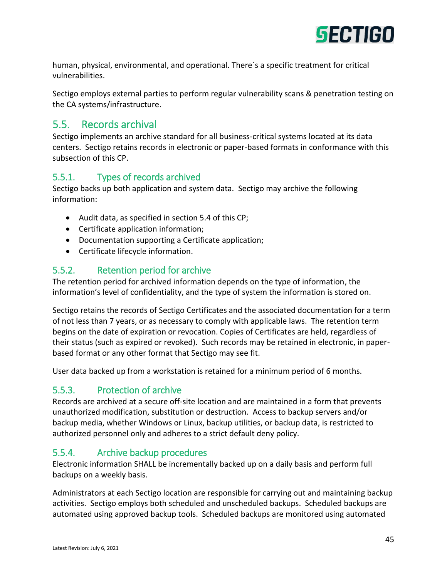

human, physical, environmental, and operational. There´s a specific treatment for critical vulnerabilities.

Sectigo employs external parties to perform regular vulnerability scans & penetration testing on the CA systems/infrastructure.

# 5.5. Records archival

Sectigo implements an archive standard for all business-critical systems located at its data centers. Sectigo retains records in electronic or paper-based formats in conformance with this subsection of this CP.

# 5.5.1. Types of records archived

Sectigo backs up both application and system data. Sectigo may archive the following information:

- Audit data, as specified in section 5.4 of this CP;
- Certificate application information;
- Documentation supporting a Certificate application;
- Certificate lifecycle information.

# 5.5.2. Retention period for archive

The retention period for archived information depends on the type of information, the information's level of confidentiality, and the type of system the information is stored on.

Sectigo retains the records of Sectigo Certificates and the associated documentation for a term of not less than 7 years, or as necessary to comply with applicable laws. The retention term begins on the date of expiration or revocation. Copies of Certificates are held, regardless of their status (such as expired or revoked). Such records may be retained in electronic, in paperbased format or any other format that Sectigo may see fit.

User data backed up from a workstation is retained for a minimum period of 6 months.

## 5.5.3. Protection of archive

Records are archived at a secure off-site location and are maintained in a form that prevents unauthorized modification, substitution or destruction. Access to backup servers and/or backup media, whether Windows or Linux, backup utilities, or backup data, is restricted to authorized personnel only and adheres to a strict default deny policy.

# 5.5.4. Archive backup procedures

Electronic information SHALL be incrementally backed up on a daily basis and perform full backups on a weekly basis.

Administrators at each Sectigo location are responsible for carrying out and maintaining backup activities. Sectigo employs both scheduled and unscheduled backups. Scheduled backups are automated using approved backup tools. Scheduled backups are monitored using automated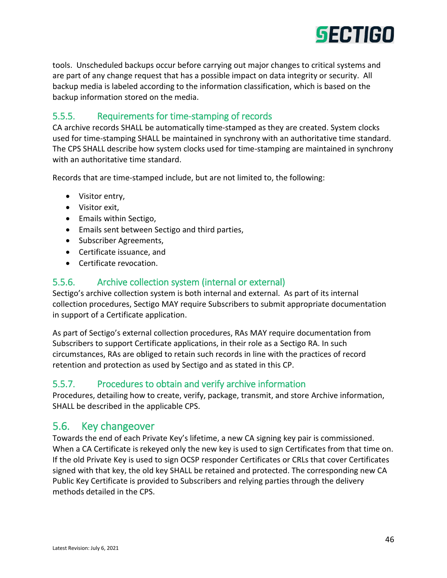

tools. Unscheduled backups occur before carrying out major changes to critical systems and are part of any change request that has a possible impact on data integrity or security. All backup media is labeled according to the information classification, which is based on the backup information stored on the media.

# 5.5.5. Requirements for time-stamping of records

CA archive records SHALL be automatically time-stamped as they are created. System clocks used for time-stamping SHALL be maintained in synchrony with an authoritative time standard. The CPS SHALL describe how system clocks used for time-stamping are maintained in synchrony with an authoritative time standard.

Records that are time-stamped include, but are not limited to, the following:

- Visitor entry,
- Visitor exit,
- Emails within Sectigo,
- Emails sent between Sectigo and third parties,
- Subscriber Agreements,
- Certificate issuance, and
- Certificate revocation.

#### 5.5.6. Archive collection system (internal or external)

Sectigo's archive collection system is both internal and external. As part of its internal collection procedures, Sectigo MAY require Subscribers to submit appropriate documentation in support of a Certificate application.

As part of Sectigo's external collection procedures, RAs MAY require documentation from Subscribers to support Certificate applications, in their role as a Sectigo RA. In such circumstances, RAs are obliged to retain such records in line with the practices of record retention and protection as used by Sectigo and as stated in this CP.

#### 5.5.7. Procedures to obtain and verify archive information

Procedures, detailing how to create, verify, package, transmit, and store Archive information, SHALL be described in the applicable CPS.

# 5.6. Key changeover

Towards the end of each Private Key's lifetime, a new CA signing key pair is commissioned. When a CA Certificate is rekeyed only the new key is used to sign Certificates from that time on. If the old Private Key is used to sign OCSP responder Certificates or CRLs that cover Certificates signed with that key, the old key SHALL be retained and protected. The corresponding new CA Public Key Certificate is provided to Subscribers and relying parties through the delivery methods detailed in the CPS.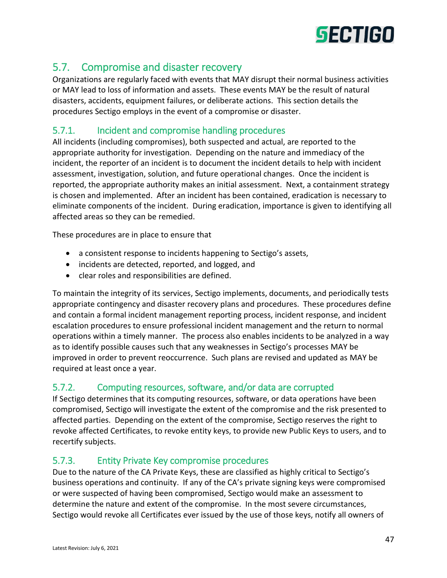

# 5.7. Compromise and disaster recovery

Organizations are regularly faced with events that MAY disrupt their normal business activities or MAY lead to loss of information and assets. These events MAY be the result of natural disasters, accidents, equipment failures, or deliberate actions. This section details the procedures Sectigo employs in the event of a compromise or disaster.

# 5.7.1. Incident and compromise handling procedures

All incidents (including compromises), both suspected and actual, are reported to the appropriate authority for investigation. Depending on the nature and immediacy of the incident, the reporter of an incident is to document the incident details to help with incident assessment, investigation, solution, and future operational changes. Once the incident is reported, the appropriate authority makes an initial assessment. Next, a containment strategy is chosen and implemented. After an incident has been contained, eradication is necessary to eliminate components of the incident. During eradication, importance is given to identifying all affected areas so they can be remedied.

These procedures are in place to ensure that

- a consistent response to incidents happening to Sectigo's assets,
- incidents are detected, reported, and logged, and
- clear roles and responsibilities are defined.

To maintain the integrity of its services, Sectigo implements, documents, and periodically tests appropriate contingency and disaster recovery plans and procedures. These procedures define and contain a formal incident management reporting process, incident response, and incident escalation procedures to ensure professional incident management and the return to normal operations within a timely manner. The process also enables incidents to be analyzed in a way as to identify possible causes such that any weaknesses in Sectigo's processes MAY be improved in order to prevent reoccurrence. Such plans are revised and updated as MAY be required at least once a year.

# 5.7.2. Computing resources, software, and/or data are corrupted

If Sectigo determines that its computing resources, software, or data operations have been compromised, Sectigo will investigate the extent of the compromise and the risk presented to affected parties. Depending on the extent of the compromise, Sectigo reserves the right to revoke affected Certificates, to revoke entity keys, to provide new Public Keys to users, and to recertify subjects.

# 5.7.3. Entity Private Key compromise procedures

Due to the nature of the CA Private Keys, these are classified as highly critical to Sectigo's business operations and continuity. If any of the CA's private signing keys were compromised or were suspected of having been compromised, Sectigo would make an assessment to determine the nature and extent of the compromise. In the most severe circumstances, Sectigo would revoke all Certificates ever issued by the use of those keys, notify all owners of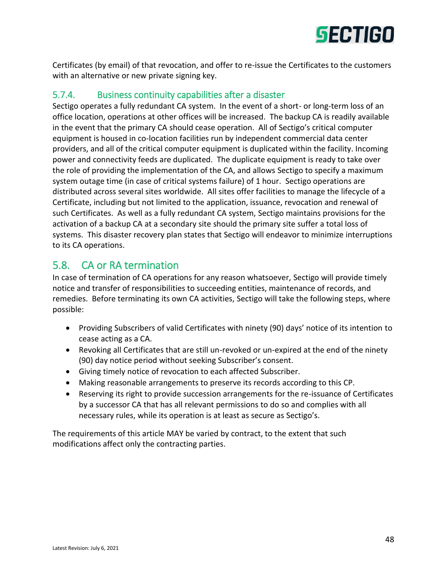

Certificates (by email) of that revocation, and offer to re-issue the Certificates to the customers with an alternative or new private signing key.

## 5.7.4. Business continuity capabilities after a disaster

Sectigo operates a fully redundant CA system. In the event of a short- or long-term loss of an office location, operations at other offices will be increased. The backup CA is readily available in the event that the primary CA should cease operation. All of Sectigo's critical computer equipment is housed in co-location facilities run by independent commercial data center providers, and all of the critical computer equipment is duplicated within the facility. Incoming power and connectivity feeds are duplicated. The duplicate equipment is ready to take over the role of providing the implementation of the CA, and allows Sectigo to specify a maximum system outage time (in case of critical systems failure) of 1 hour. Sectigo operations are distributed across several sites worldwide. All sites offer facilities to manage the lifecycle of a Certificate, including but not limited to the application, issuance, revocation and renewal of such Certificates. As well as a fully redundant CA system, Sectigo maintains provisions for the activation of a backup CA at a secondary site should the primary site suffer a total loss of systems. This disaster recovery plan states that Sectigo will endeavor to minimize interruptions to its CA operations.

# 5.8. CA or RA termination

In case of termination of CA operations for any reason whatsoever, Sectigo will provide timely notice and transfer of responsibilities to succeeding entities, maintenance of records, and remedies. Before terminating its own CA activities, Sectigo will take the following steps, where possible:

- Providing Subscribers of valid Certificates with ninety (90) days' notice of its intention to cease acting as a CA.
- Revoking all Certificates that are still un-revoked or un-expired at the end of the ninety (90) day notice period without seeking Subscriber's consent.
- Giving timely notice of revocation to each affected Subscriber.
- Making reasonable arrangements to preserve its records according to this CP.
- Reserving its right to provide succession arrangements for the re-issuance of Certificates by a successor CA that has all relevant permissions to do so and complies with all necessary rules, while its operation is at least as secure as Sectigo's.

The requirements of this article MAY be varied by contract, to the extent that such modifications affect only the contracting parties.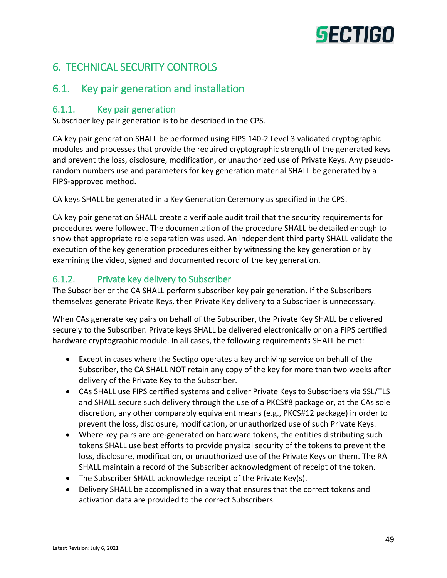# **SECTIGO**

# 6. TECHNICAL SECURITY CONTROLS

# 6.1. Key pair generation and installation

## 6.1.1. Key pair generation

Subscriber key pair generation is to be described in the CPS.

CA key pair generation SHALL be performed using FIPS 140-2 Level 3 validated cryptographic modules and processes that provide the required cryptographic strength of the generated keys and prevent the loss, disclosure, modification, or unauthorized use of Private Keys. Any pseudorandom numbers use and parameters for key generation material SHALL be generated by a FIPS-approved method.

CA keys SHALL be generated in a Key Generation Ceremony as specified in the CPS.

CA key pair generation SHALL create a verifiable audit trail that the security requirements for procedures were followed. The documentation of the procedure SHALL be detailed enough to show that appropriate role separation was used. An independent third party SHALL validate the execution of the key generation procedures either by witnessing the key generation or by examining the video, signed and documented record of the key generation.

# 6.1.2. Private key delivery to Subscriber

The Subscriber or the CA SHALL perform subscriber key pair generation. If the Subscribers themselves generate Private Keys, then Private Key delivery to a Subscriber is unnecessary.

When CAs generate key pairs on behalf of the Subscriber, the Private Key SHALL be delivered securely to the Subscriber. Private keys SHALL be delivered electronically or on a FIPS certified hardware cryptographic module. In all cases, the following requirements SHALL be met:

- Except in cases where the Sectigo operates a key archiving service on behalf of the Subscriber, the CA SHALL NOT retain any copy of the key for more than two weeks after delivery of the Private Key to the Subscriber.
- CAs SHALL use FIPS certified systems and deliver Private Keys to Subscribers via SSL/TLS and SHALL secure such delivery through the use of a PKCS#8 package or, at the CAs sole discretion, any other comparably equivalent means (e.g., PKCS#12 package) in order to prevent the loss, disclosure, modification, or unauthorized use of such Private Keys.
- Where key pairs are pre-generated on hardware tokens, the entities distributing such tokens SHALL use best efforts to provide physical security of the tokens to prevent the loss, disclosure, modification, or unauthorized use of the Private Keys on them. The RA SHALL maintain a record of the Subscriber acknowledgment of receipt of the token.
- The Subscriber SHALL acknowledge receipt of the Private Key(s).
- Delivery SHALL be accomplished in a way that ensures that the correct tokens and activation data are provided to the correct Subscribers.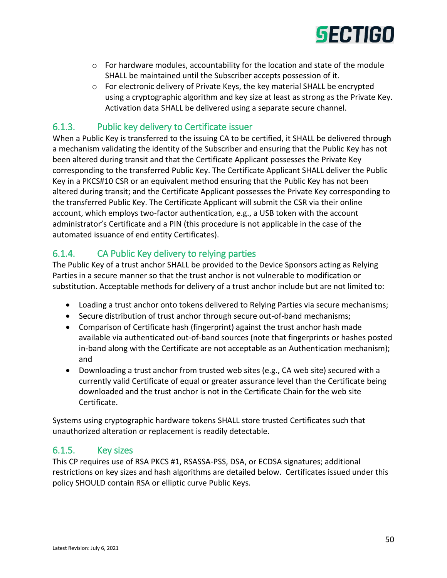

- $\circ$  For hardware modules, accountability for the location and state of the module SHALL be maintained until the Subscriber accepts possession of it.
- o For electronic delivery of Private Keys, the key material SHALL be encrypted using a cryptographic algorithm and key size at least as strong as the Private Key. Activation data SHALL be delivered using a separate secure channel.

# 6.1.3. Public key delivery to Certificate issuer

When a Public Key is transferred to the issuing CA to be certified, it SHALL be delivered through a mechanism validating the identity of the Subscriber and ensuring that the Public Key has not been altered during transit and that the Certificate Applicant possesses the Private Key corresponding to the transferred Public Key. The Certificate Applicant SHALL deliver the Public Key in a PKCS#10 CSR or an equivalent method ensuring that the Public Key has not been altered during transit; and the Certificate Applicant possesses the Private Key corresponding to the transferred Public Key. The Certificate Applicant will submit the CSR via their online account, which employs two-factor authentication, e.g., a USB token with the account administrator's Certificate and a PIN (this procedure is not applicable in the case of the automated issuance of end entity Certificates).

# 6.1.4. CA Public Key delivery to relying parties

The Public Key of a trust anchor SHALL be provided to the Device Sponsors acting as Relying Parties in a secure manner so that the trust anchor is not vulnerable to modification or substitution. Acceptable methods for delivery of a trust anchor include but are not limited to:

- Loading a trust anchor onto tokens delivered to Relying Parties via secure mechanisms;
- Secure distribution of trust anchor through secure out-of-band mechanisms;
- Comparison of Certificate hash (fingerprint) against the trust anchor hash made available via authenticated out-of-band sources (note that fingerprints or hashes posted in-band along with the Certificate are not acceptable as an Authentication mechanism); and
- Downloading a trust anchor from trusted web sites (e.g., CA web site) secured with a currently valid Certificate of equal or greater assurance level than the Certificate being downloaded and the trust anchor is not in the Certificate Chain for the web site Certificate.

Systems using cryptographic hardware tokens SHALL store trusted Certificates such that unauthorized alteration or replacement is readily detectable.

# 6.1.5. Key sizes

This CP requires use of RSA PKCS #1, RSASSA-PSS, DSA, or ECDSA signatures; additional restrictions on key sizes and hash algorithms are detailed below. Certificates issued under this policy SHOULD contain RSA or elliptic curve Public Keys.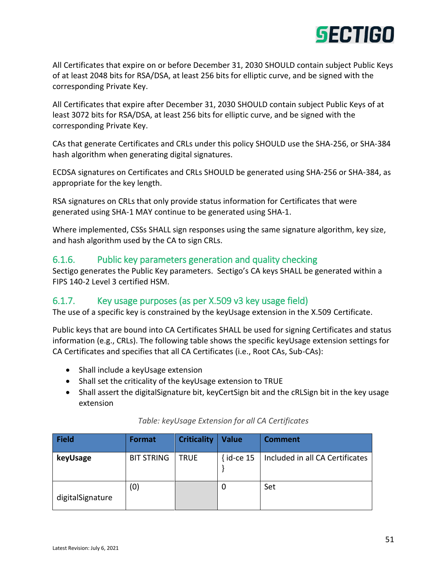

All Certificates that expire on or before December 31, 2030 SHOULD contain subject Public Keys of at least 2048 bits for RSA/DSA, at least 256 bits for elliptic curve, and be signed with the corresponding Private Key.

All Certificates that expire after December 31, 2030 SHOULD contain subject Public Keys of at least 3072 bits for RSA/DSA, at least 256 bits for elliptic curve, and be signed with the corresponding Private Key.

CAs that generate Certificates and CRLs under this policy SHOULD use the SHA-256, or SHA-384 hash algorithm when generating digital signatures.

ECDSA signatures on Certificates and CRLs SHOULD be generated using SHA-256 or SHA-384, as appropriate for the key length.

RSA signatures on CRLs that only provide status information for Certificates that were generated using SHA-1 MAY continue to be generated using SHA-1.

Where implemented, CSSs SHALL sign responses using the same signature algorithm, key size, and hash algorithm used by the CA to sign CRLs.

#### 6.1.6. Public key parameters generation and quality checking

Sectigo generates the Public Key parameters. Sectigo's CA keys SHALL be generated within a FIPS 140-2 Level 3 certified HSM.

# 6.1.7. Key usage purposes (as per X.509 v3 key usage field)

The use of a specific key is constrained by the keyUsage extension in the X.509 Certificate.

Public keys that are bound into CA Certificates SHALL be used for signing Certificates and status information (e.g., CRLs). The following table shows the specific keyUsage extension settings for CA Certificates and specifies that all CA Certificates (i.e., Root CAs, Sub-CAs):

- Shall include a keyUsage extension
- Shall set the criticality of the keyUsage extension to TRUE
- Shall assert the digitalSignature bit, keyCertSign bit and the cRLSign bit in the key usage extension

| Field            | <b>Format</b>     | <b>Criticality</b> | <b>Value</b>  | <b>Comment</b>                  |
|------------------|-------------------|--------------------|---------------|---------------------------------|
| keyUsage         | <b>BIT STRING</b> | <b>TRUE</b>        | $\{$ id-ce 15 | Included in all CA Certificates |
| digitalSignature | (0)               |                    | 0             | Set                             |

#### *Table: keyUsage Extension for all CA Certificates*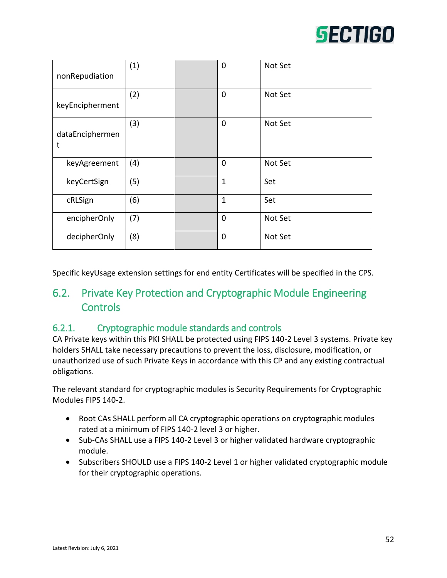

| nonRepudiation       | (1) | $\mathbf 0$  | Not Set |
|----------------------|-----|--------------|---------|
| keyEncipherment      | (2) | $\mathbf 0$  | Not Set |
| dataEnciphermen<br>t | (3) | $\mathbf 0$  | Not Set |
| keyAgreement         | (4) | $\mathbf 0$  | Not Set |
| keyCertSign          | (5) | $\mathbf{1}$ | Set     |
| cRLSign              | (6) | $\mathbf{1}$ | Set     |
| encipherOnly         | (7) | $\mathbf 0$  | Not Set |
| decipherOnly         | (8) | $\mathbf 0$  | Not Set |

Specific keyUsage extension settings for end entity Certificates will be specified in the CPS.

# 6.2. Private Key Protection and Cryptographic Module Engineering **Controls**

#### 6.2.1. Cryptographic module standards and controls

CA Private keys within this PKI SHALL be protected using FIPS 140-2 Level 3 systems. Private key holders SHALL take necessary precautions to prevent the loss, disclosure, modification, or unauthorized use of such Private Keys in accordance with this CP and any existing contractual obligations.

The relevant standard for cryptographic modules is Security Requirements for Cryptographic Modules FIPS 140-2.

- Root CAs SHALL perform all CA cryptographic operations on cryptographic modules rated at a minimum of FIPS 140-2 level 3 or higher.
- Sub-CAs SHALL use a FIPS 140-2 Level 3 or higher validated hardware cryptographic module.
- Subscribers SHOULD use a FIPS 140-2 Level 1 or higher validated cryptographic module for their cryptographic operations.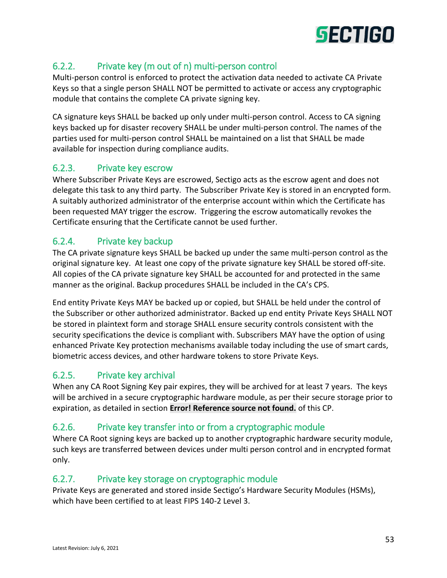

# 6.2.2. Private key (m out of n) multi-person control

Multi-person control is enforced to protect the activation data needed to activate CA Private Keys so that a single person SHALL NOT be permitted to activate or access any cryptographic module that contains the complete CA private signing key.

CA signature keys SHALL be backed up only under multi-person control. Access to CA signing keys backed up for disaster recovery SHALL be under multi-person control. The names of the parties used for multi-person control SHALL be maintained on a list that SHALL be made available for inspection during compliance audits.

# 6.2.3. Private key escrow

Where Subscriber Private Keys are escrowed, Sectigo acts as the escrow agent and does not delegate this task to any third party. The Subscriber Private Key is stored in an encrypted form. A suitably authorized administrator of the enterprise account within which the Certificate has been requested MAY trigger the escrow. Triggering the escrow automatically revokes the Certificate ensuring that the Certificate cannot be used further.

# 6.2.4. Private key backup

The CA private signature keys SHALL be backed up under the same multi-person control as the original signature key. At least one copy of the private signature key SHALL be stored off-site. All copies of the CA private signature key SHALL be accounted for and protected in the same manner as the original. Backup procedures SHALL be included in the CA's CPS.

End entity Private Keys MAY be backed up or copied, but SHALL be held under the control of the Subscriber or other authorized administrator. Backed up end entity Private Keys SHALL NOT be stored in plaintext form and storage SHALL ensure security controls consistent with the security specifications the device is compliant with. Subscribers MAY have the option of using enhanced Private Key protection mechanisms available today including the use of smart cards, biometric access devices, and other hardware tokens to store Private Keys.

# 6.2.5. Private key archival

When any CA Root Signing Key pair expires, they will be archived for at least 7 years. The keys will be archived in a secure cryptographic hardware module, as per their secure storage prior to expiration, as detailed in section **Error! Reference source not found.** of this CP.

# 6.2.6. Private key transfer into or from a cryptographic module

Where CA Root signing keys are backed up to another cryptographic hardware security module, such keys are transferred between devices under multi person control and in encrypted format only.

# 6.2.7. Private key storage on cryptographic module

Private Keys are generated and stored inside Sectigo's Hardware Security Modules (HSMs), which have been certified to at least FIPS 140-2 Level 3.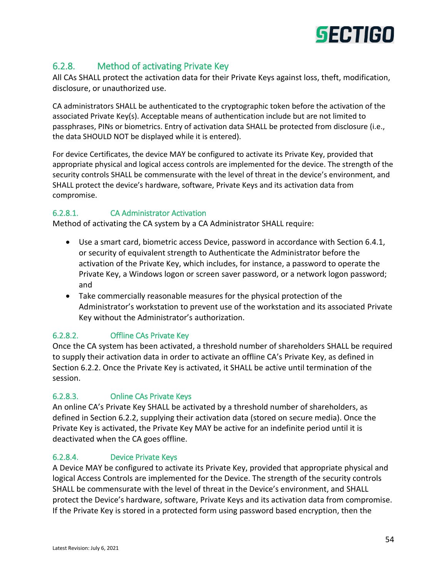

# 6.2.8. Method of activating Private Key

All CAs SHALL protect the activation data for their Private Keys against loss, theft, modification, disclosure, or unauthorized use.

CA administrators SHALL be authenticated to the cryptographic token before the activation of the associated Private Key(s). Acceptable means of authentication include but are not limited to passphrases, PINs or biometrics. Entry of activation data SHALL be protected from disclosure (i.e., the data SHOULD NOT be displayed while it is entered).

For device Certificates, the device MAY be configured to activate its Private Key, provided that appropriate physical and logical access controls are implemented for the device. The strength of the security controls SHALL be commensurate with the level of threat in the device's environment, and SHALL protect the device's hardware, software, Private Keys and its activation data from compromise.

#### 6.2.8.1. CA Administrator Activation

Method of activating the CA system by a CA Administrator SHALL require:

- Use a smart card, biometric access Device, password in accordance with Section 6.4.1, or security of equivalent strength to Authenticate the Administrator before the activation of the Private Key, which includes, for instance, a password to operate the Private Key, a Windows logon or screen saver password, or a network logon password; and
- Take commercially reasonable measures for the physical protection of the Administrator's workstation to prevent use of the workstation and its associated Private Key without the Administrator's authorization.

#### 6.2.8.2. Offline CAs Private Key

Once the CA system has been activated, a threshold number of shareholders SHALL be required to supply their activation data in order to activate an offline CA's Private Key, as defined in Section 6.2.2. Once the Private Key is activated, it SHALL be active until termination of the session.

#### 6.2.8.3. Online CAs Private Keys

An online CA's Private Key SHALL be activated by a threshold number of shareholders, as defined in Section 6.2.2, supplying their activation data (stored on secure media). Once the Private Key is activated, the Private Key MAY be active for an indefinite period until it is deactivated when the CA goes offline.

#### 6.2.8.4. Device Private Keys

A Device MAY be configured to activate its Private Key, provided that appropriate physical and logical Access Controls are implemented for the Device. The strength of the security controls SHALL be commensurate with the level of threat in the Device's environment, and SHALL protect the Device's hardware, software, Private Keys and its activation data from compromise. If the Private Key is stored in a protected form using password based encryption, then the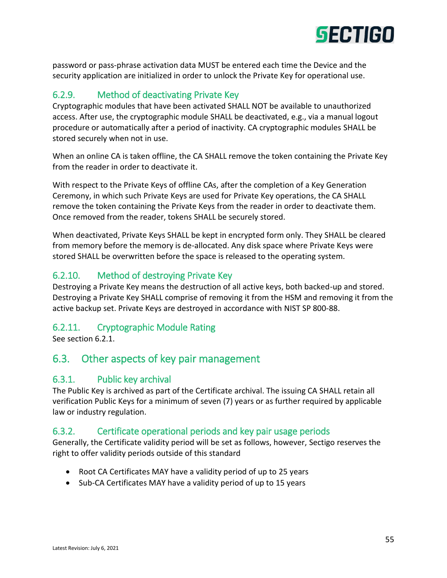

password or pass-phrase activation data MUST be entered each time the Device and the security application are initialized in order to unlock the Private Key for operational use.

# 6.2.9. Method of deactivating Private Key

Cryptographic modules that have been activated SHALL NOT be available to unauthorized access. After use, the cryptographic module SHALL be deactivated, e.g., via a manual logout procedure or automatically after a period of inactivity. CA cryptographic modules SHALL be stored securely when not in use.

When an online CA is taken offline, the CA SHALL remove the token containing the Private Key from the reader in order to deactivate it.

With respect to the Private Keys of offline CAs, after the completion of a Key Generation Ceremony, in which such Private Keys are used for Private Key operations, the CA SHALL remove the token containing the Private Keys from the reader in order to deactivate them. Once removed from the reader, tokens SHALL be securely stored.

When deactivated, Private Keys SHALL be kept in encrypted form only. They SHALL be cleared from memory before the memory is de-allocated. Any disk space where Private Keys were stored SHALL be overwritten before the space is released to the operating system.

# 6.2.10. Method of destroying Private Key

Destroying a Private Key means the destruction of all active keys, both backed-up and stored. Destroying a Private Key SHALL comprise of removing it from the HSM and removing it from the active backup set. Private Keys are destroyed in accordance with NIST SP 800-88.

# 6.2.11. Cryptographic Module Rating

See section 6.2.1.

# 6.3. Other aspects of key pair management

# 6.3.1. Public key archival

The Public Key is archived as part of the Certificate archival. The issuing CA SHALL retain all verification Public Keys for a minimum of seven (7) years or as further required by applicable law or industry regulation.

# 6.3.2. Certificate operational periods and key pair usage periods

Generally, the Certificate validity period will be set as follows, however, Sectigo reserves the right to offer validity periods outside of this standard

- Root CA Certificates MAY have a validity period of up to 25 years
- Sub-CA Certificates MAY have a validity period of up to 15 years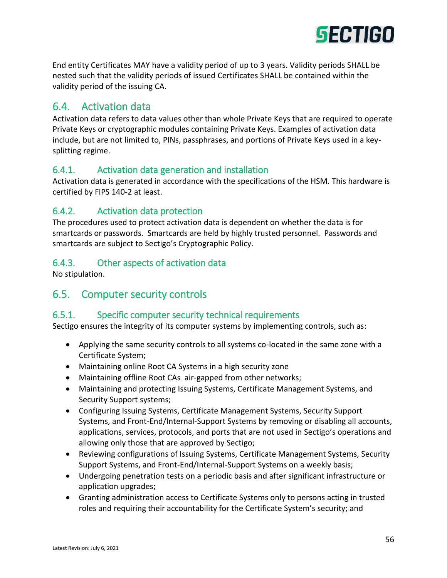

End entity Certificates MAY have a validity period of up to 3 years. Validity periods SHALL be nested such that the validity periods of issued Certificates SHALL be contained within the validity period of the issuing CA.

# 6.4. Activation data

Activation data refers to data values other than whole Private Keys that are required to operate Private Keys or cryptographic modules containing Private Keys. Examples of activation data include, but are not limited to, PINs, passphrases, and portions of Private Keys used in a keysplitting regime.

# 6.4.1. Activation data generation and installation

Activation data is generated in accordance with the specifications of the HSM. This hardware is certified by FIPS 140-2 at least.

# 6.4.2. Activation data protection

The procedures used to protect activation data is dependent on whether the data is for smartcards or passwords. Smartcards are held by highly trusted personnel. Passwords and smartcards are subject to Sectigo's Cryptographic Policy.

#### 6.4.3. Other aspects of activation data

No stipulation.

# 6.5. Computer security controls

#### 6.5.1. Specific computer security technical requirements

Sectigo ensures the integrity of its computer systems by implementing controls, such as:

- Applying the same security controls to all systems co-located in the same zone with a Certificate System;
- Maintaining online Root CA Systems in a high security zone
- Maintaining offline Root CAs air-gapped from other networks;
- Maintaining and protecting Issuing Systems, Certificate Management Systems, and Security Support systems;
- Configuring Issuing Systems, Certificate Management Systems, Security Support Systems, and Front-End/Internal-Support Systems by removing or disabling all accounts, applications, services, protocols, and ports that are not used in Sectigo's operations and allowing only those that are approved by Sectigo;
- Reviewing configurations of Issuing Systems, Certificate Management Systems, Security Support Systems, and Front-End/Internal-Support Systems on a weekly basis;
- Undergoing penetration tests on a periodic basis and after significant infrastructure or application upgrades;
- Granting administration access to Certificate Systems only to persons acting in trusted roles and requiring their accountability for the Certificate System's security; and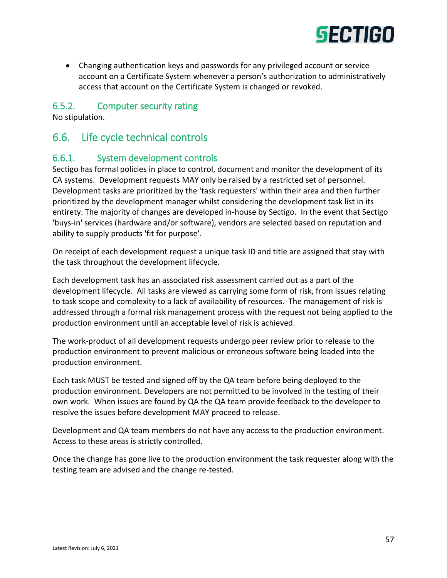

 Changing authentication keys and passwords for any privileged account or service account on a Certificate System whenever a person's authorization to administratively access that account on the Certificate System is changed or revoked.

#### 6.5.2. Computer security rating

No stipulation.

# 6.6. Life cycle technical controls

#### 6.6.1. System development controls

Sectigo has formal policies in place to control, document and monitor the development of its CA systems. Development requests MAY only be raised by a restricted set of personnel. Development tasks are prioritized by the 'task requesters' within their area and then further prioritized by the development manager whilst considering the development task list in its entirety. The majority of changes are developed in-house by Sectigo. In the event that Sectigo 'buys-in' services (hardware and/or software), vendors are selected based on reputation and ability to supply products 'fit for purpose'.

On receipt of each development request a unique task ID and title are assigned that stay with the task throughout the development lifecycle.

Each development task has an associated risk assessment carried out as a part of the development lifecycle. All tasks are viewed as carrying some form of risk, from issues relating to task scope and complexity to a lack of availability of resources. The management of risk is addressed through a formal risk management process with the request not being applied to the production environment until an acceptable level of risk is achieved.

The work-product of all development requests undergo peer review prior to release to the production environment to prevent malicious or erroneous software being loaded into the production environment.

Each task MUST be tested and signed off by the QA team before being deployed to the production environment. Developers are not permitted to be involved in the testing of their own work. When issues are found by QA the QA team provide feedback to the developer to resolve the issues before development MAY proceed to release.

Development and QA team members do not have any access to the production environment. Access to these areas is strictly controlled.

Once the change has gone live to the production environment the task requester along with the testing team are advised and the change re-tested.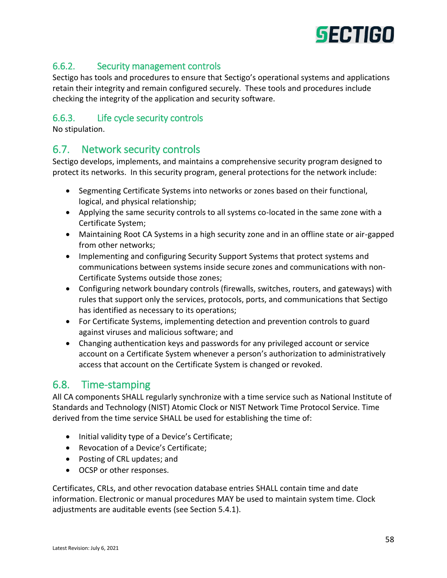

# 6.6.2. Security management controls

Sectigo has tools and procedures to ensure that Sectigo's operational systems and applications retain their integrity and remain configured securely. These tools and procedures include checking the integrity of the application and security software.

#### 6.6.3. Life cycle security controls

No stipulation.

# 6.7. Network security controls

Sectigo develops, implements, and maintains a comprehensive security program designed to protect its networks. In this security program, general protections for the network include:

- Segmenting Certificate Systems into networks or zones based on their functional, logical, and physical relationship;
- Applying the same security controls to all systems co-located in the same zone with a Certificate System;
- Maintaining Root CA Systems in a high security zone and in an offline state or air-gapped from other networks;
- Implementing and configuring Security Support Systems that protect systems and communications between systems inside secure zones and communications with non-Certificate Systems outside those zones;
- Configuring network boundary controls (firewalls, switches, routers, and gateways) with rules that support only the services, protocols, ports, and communications that Sectigo has identified as necessary to its operations;
- For Certificate Systems, implementing detection and prevention controls to guard against viruses and malicious software; and
- Changing authentication keys and passwords for any privileged account or service account on a Certificate System whenever a person's authorization to administratively access that account on the Certificate System is changed or revoked.

# 6.8. Time-stamping

All CA components SHALL regularly synchronize with a time service such as National Institute of Standards and Technology (NIST) Atomic Clock or NIST Network Time Protocol Service. Time derived from the time service SHALL be used for establishing the time of:

- Initial validity type of a Device's Certificate;
- Revocation of a Device's Certificate;
- Posting of CRL updates; and
- OCSP or other responses.

Certificates, CRLs, and other revocation database entries SHALL contain time and date information. Electronic or manual procedures MAY be used to maintain system time. Clock adjustments are auditable events (see Section 5.4.1).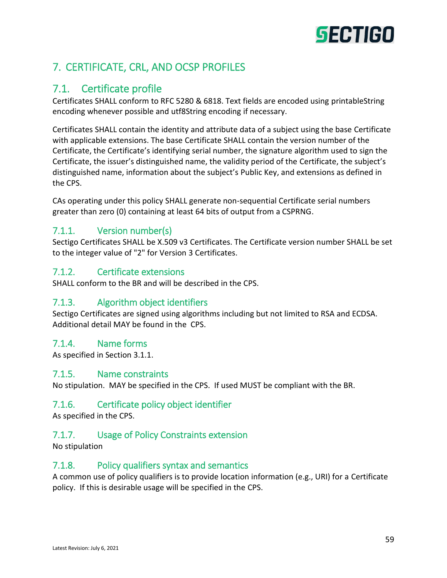# **SECTIGO**

# 7. CERTIFICATE, CRL, AND OCSP PROFILES

# 7.1. Certificate profile

Certificates SHALL conform to RFC 5280 & 6818. Text fields are encoded using printableString encoding whenever possible and utf8String encoding if necessary.

Certificates SHALL contain the identity and attribute data of a subject using the base Certificate with applicable extensions. The base Certificate SHALL contain the version number of the Certificate, the Certificate's identifying serial number, the signature algorithm used to sign the Certificate, the issuer's distinguished name, the validity period of the Certificate, the subject's distinguished name, information about the subject's Public Key, and extensions as defined in the CPS.

CAs operating under this policy SHALL generate non-sequential Certificate serial numbers greater than zero (0) containing at least 64 bits of output from a CSPRNG.

# 7.1.1. Version number(s)

Sectigo Certificates SHALL be X.509 v3 Certificates. The Certificate version number SHALL be set to the integer value of "2" for Version 3 Certificates.

# 7.1.2. Certificate extensions

SHALL conform to the BR and will be described in the CPS.

# 7.1.3. Algorithm object identifiers

Sectigo Certificates are signed using algorithms including but not limited to RSA and ECDSA. Additional detail MAY be found in the CPS.

# 7.1.4. Name forms

As specified in Section 3.1.1.

#### 7.1.5. Name constraints

No stipulation. MAY be specified in the CPS. If used MUST be compliant with the BR.

# 7.1.6. Certificate policy object identifier

As specified in the CPS.

# 7.1.7. Usage of Policy Constraints extension

No stipulation

# 7.1.8. Policy qualifiers syntax and semantics

A common use of policy qualifiers is to provide location information (e.g., URI) for a Certificate policy. If this is desirable usage will be specified in the CPS.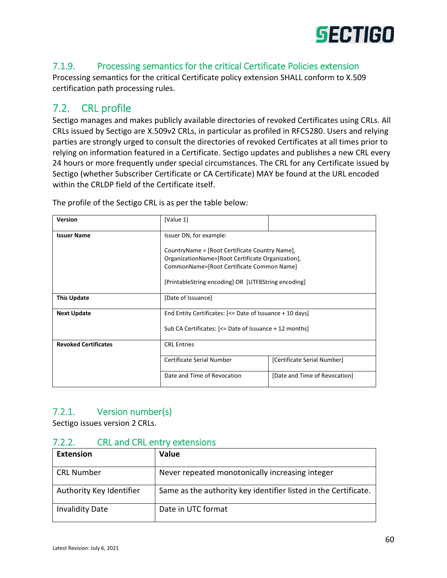

# 7.1.9. Processing semantics for the critical Certificate Policies extension

Processing semantics for the critical Certificate policy extension SHALL conform to X.509 certification path processing rules.

# 7.2. CRL profile

Sectigo manages and makes publicly available directories of revoked Certificates using CRLs. All CRLs issued by Sectigo are X.509v2 CRLs, in particular as profiled in RFC5280. Users and relying parties are strongly urged to consult the directories of revoked Certificates at all times prior to relying on information featured in a Certificate. Sectigo updates and publishes a new CRL every 24 hours or more frequently under special circumstances. The CRL for any Certificate issued by Sectigo (whether Subscriber Certificate or CA Certificate) MAY be found at the URL encoded within the CRLDP field of the Certificate itself.

| <b>Version</b>              | [Value 1]                                                |                               |  |
|-----------------------------|----------------------------------------------------------|-------------------------------|--|
| <b>Issuer Name</b>          | Issuer DN, for example:                                  |                               |  |
|                             | CountryName = [Root Certificate Country Name],           |                               |  |
|                             | OrganizationName=[Root Certificate Organization],        |                               |  |
|                             | CommonName=[Root Certificate Common Name]                |                               |  |
|                             | [PrintableString encoding] OR [UTF8String encoding]      |                               |  |
| <b>This Update</b>          | [Date of Issuance]                                       |                               |  |
| <b>Next Update</b>          | End Entity Certificates: [<= Date of Issuance + 10 days] |                               |  |
|                             | Sub CA Certificates: [<= Date of Issuance + 12 months]   |                               |  |
| <b>Revoked Certificates</b> | <b>CRL Entries</b>                                       |                               |  |
|                             | Certificate Serial Number                                | [Certificate Serial Number]   |  |
|                             | Date and Time of Revocation                              | [Date and Time of Revocation] |  |

The profile of the Sectigo CRL is as per the table below:

# 7.2.1. Version number(s)

Sectigo issues version 2 CRLs.

# 7.2.2. CRL and CRL entry extensions

| <b>Extension</b>         | Value                                                           |
|--------------------------|-----------------------------------------------------------------|
| <b>CRL Number</b>        | Never repeated monotonically increasing integer                 |
| Authority Key Identifier | Same as the authority key identifier listed in the Certificate. |
| <b>Invalidity Date</b>   | Date in UTC format                                              |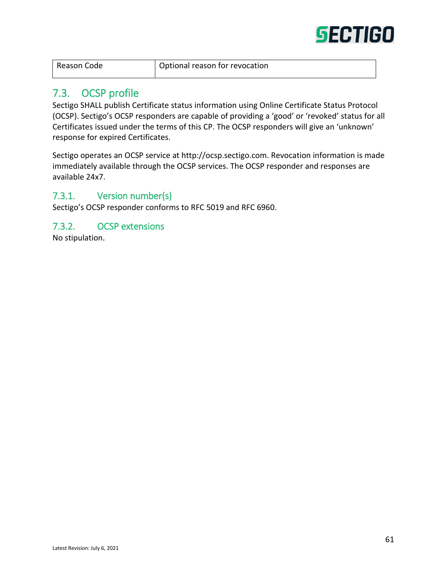

| <b>Reason Code</b> |  |
|--------------------|--|
|--------------------|--|

# 7.3. OCSP profile

Sectigo SHALL publish Certificate status information using Online Certificate Status Protocol (OCSP). Sectigo's OCSP responders are capable of providing a 'good' or 'revoked' status for all Certificates issued under the terms of this CP. The OCSP responders will give an 'unknown' response for expired Certificates.

Sectigo operates an OCSP service at http://ocsp.sectigo.com. Revocation information is made immediately available through the OCSP services. The OCSP responder and responses are available 24x7.

# 7.3.1. Version number(s)

Sectigo's OCSP responder conforms to RFC 5019 and RFC 6960.

#### 7.3.2. OCSP extensions

No stipulation.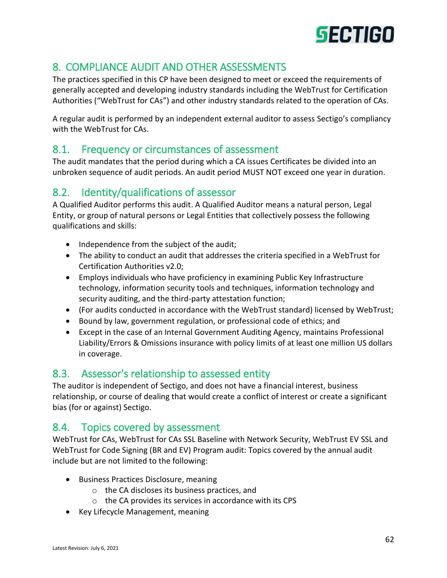

# 8. COMPLIANCE AUDIT AND OTHER ASSESSMENTS

The practices specified in this CP have been designed to meet or exceed the requirements of generally accepted and developing industry standards including the WebTrust for Certification Authorities ("WebTrust for CAs") and other industry standards related to the operation of CAs.

A regular audit is performed by an independent external auditor to assess Sectigo's compliancy with the WebTrust for CAs.

# 8.1. Frequency or circumstances of assessment

The audit mandates that the period during which a CA issues Certificates be divided into an unbroken sequence of audit periods. An audit period MUST NOT exceed one year in duration.

# 8.2. Identity/qualifications of assessor

A Qualified Auditor performs this audit. A Qualified Auditor means a natural person, Legal Entity, or group of natural persons or Legal Entities that collectively possess the following qualifications and skills:

- Independence from the subject of the audit;
- The ability to conduct an audit that addresses the criteria specified in a WebTrust for Certification Authorities v2.0;
- Employs individuals who have proficiency in examining Public Key Infrastructure technology, information security tools and techniques, information technology and security auditing, and the third-party attestation function;
- (For audits conducted in accordance with the WebTrust standard) licensed by WebTrust;
- Bound by law, government regulation, or professional code of ethics; and
- Except in the case of an Internal Government Auditing Agency, maintains Professional Liability/Errors & Omissions insurance with policy limits of at least one million US dollars in coverage.

# 8.3. Assessor's relationship to assessed entity

The auditor is independent of Sectigo, and does not have a financial interest, business relationship, or course of dealing that would create a conflict of interest or create a significant bias (for or against) Sectigo.

# 8.4. Topics covered by assessment

WebTrust for CAs, WebTrust for CAs SSL Baseline with Network Security, WebTrust EV SSL and WebTrust for Code Signing (BR and EV) Program audit: Topics covered by the annual audit include but are not limited to the following:

- Business Practices Disclosure, meaning
	- o the CA discloses its business practices, and
	- o the CA provides its services in accordance with its CPS
- Key Lifecycle Management, meaning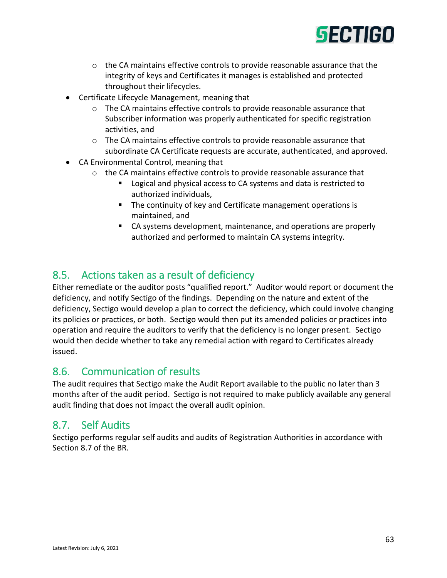

- $\circ$  the CA maintains effective controls to provide reasonable assurance that the integrity of keys and Certificates it manages is established and protected throughout their lifecycles.
- Certificate Lifecycle Management, meaning that
	- o The CA maintains effective controls to provide reasonable assurance that Subscriber information was properly authenticated for specific registration activities, and
	- $\circ$  The CA maintains effective controls to provide reasonable assurance that subordinate CA Certificate requests are accurate, authenticated, and approved.
- CA Environmental Control, meaning that
	- o the CA maintains effective controls to provide reasonable assurance that
		- **Logical and physical access to CA systems and data is restricted to** authorized individuals,
		- The continuity of key and Certificate management operations is maintained, and
		- CA systems development, maintenance, and operations are properly authorized and performed to maintain CA systems integrity.

# 8.5. Actions taken as a result of deficiency

Either remediate or the auditor posts "qualified report." Auditor would report or document the deficiency, and notify Sectigo of the findings. Depending on the nature and extent of the deficiency, Sectigo would develop a plan to correct the deficiency, which could involve changing its policies or practices, or both. Sectigo would then put its amended policies or practices into operation and require the auditors to verify that the deficiency is no longer present. Sectigo would then decide whether to take any remedial action with regard to Certificates already issued.

# 8.6. Communication of results

The audit requires that Sectigo make the Audit Report available to the public no later than 3 months after of the audit period. Sectigo is not required to make publicly available any general audit finding that does not impact the overall audit opinion.

# 8.7. Self Audits

Sectigo performs regular self audits and audits of Registration Authorities in accordance with Section 8.7 of the BR.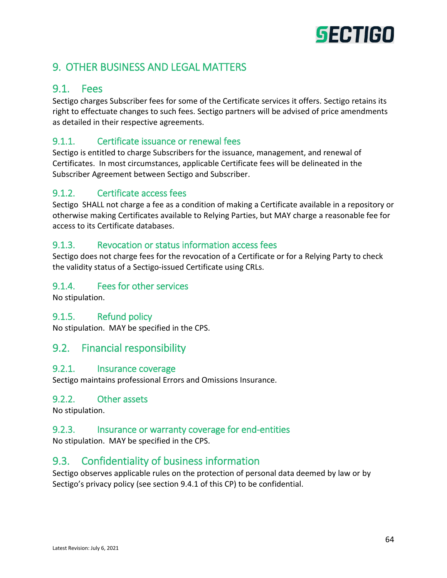# **SECTIGO**

# 9. OTHER BUSINESS AND LEGAL MATTERS

# 9.1. Fees

Sectigo charges Subscriber fees for some of the Certificate services it offers. Sectigo retains its right to effectuate changes to such fees. Sectigo partners will be advised of price amendments as detailed in their respective agreements.

# 9.1.1. Certificate issuance or renewal fees

Sectigo is entitled to charge Subscribers for the issuance, management, and renewal of Certificates. In most circumstances, applicable Certificate fees will be delineated in the Subscriber Agreement between Sectigo and Subscriber.

# 9.1.2. Certificate access fees

Sectigo SHALL not charge a fee as a condition of making a Certificate available in a repository or otherwise making Certificates available to Relying Parties, but MAY charge a reasonable fee for access to its Certificate databases.

# 9.1.3. Revocation or status information access fees

Sectigo does not charge fees for the revocation of a Certificate or for a Relying Party to check the validity status of a Sectigo-issued Certificate using CRLs.

# 9.1.4. Fees for other services

No stipulation.

# 9.1.5. Refund policy

No stipulation. MAY be specified in the CPS.

# 9.2. Financial responsibility

#### 9.2.1. Insurance coverage

Sectigo maintains professional Errors and Omissions Insurance.

#### 9.2.2. Other assets

No stipulation.

#### 9.2.3. Insurance or warranty coverage for end-entities

No stipulation. MAY be specified in the CPS.

# 9.3. Confidentiality of business information

Sectigo observes applicable rules on the protection of personal data deemed by law or by Sectigo's privacy policy (see section 9.4.1 of this CP) to be confidential.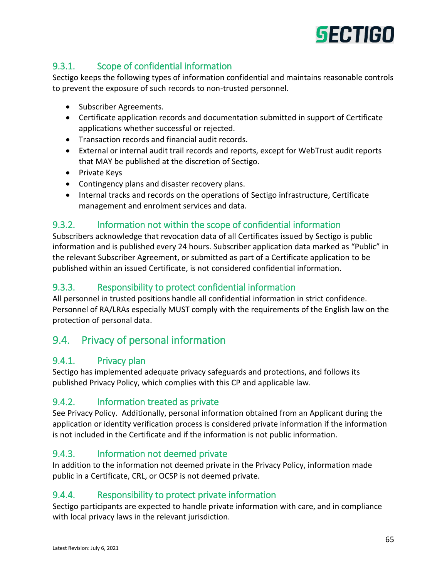

# 9.3.1. Scope of confidential information

Sectigo keeps the following types of information confidential and maintains reasonable controls to prevent the exposure of such records to non-trusted personnel.

- Subscriber Agreements.
- Certificate application records and documentation submitted in support of Certificate applications whether successful or rejected.
- Transaction records and financial audit records.
- External or internal audit trail records and reports, except for WebTrust audit reports that MAY be published at the discretion of Sectigo.
- Private Keys
- Contingency plans and disaster recovery plans.
- Internal tracks and records on the operations of Sectigo infrastructure, Certificate management and enrolment services and data.

# 9.3.2. Information not within the scope of confidential information

Subscribers acknowledge that revocation data of all Certificates issued by Sectigo is public information and is published every 24 hours. Subscriber application data marked as "Public" in the relevant Subscriber Agreement, or submitted as part of a Certificate application to be published within an issued Certificate, is not considered confidential information.

# 9.3.3. Responsibility to protect confidential information

All personnel in trusted positions handle all confidential information in strict confidence. Personnel of RA/LRAs especially MUST comply with the requirements of the English law on the protection of personal data.

# 9.4. Privacy of personal information

# 9.4.1. Privacy plan

Sectigo has implemented adequate privacy safeguards and protections, and follows its published Privacy Policy, which complies with this CP and applicable law.

# 9.4.2. Information treated as private

See Privacy Policy. Additionally, personal information obtained from an Applicant during the application or identity verification process is considered private information if the information is not included in the Certificate and if the information is not public information.

# 9.4.3. Information not deemed private

In addition to the information not deemed private in the Privacy Policy, information made public in a Certificate, CRL, or OCSP is not deemed private.

# 9.4.4. Responsibility to protect private information

Sectigo participants are expected to handle private information with care, and in compliance with local privacy laws in the relevant jurisdiction.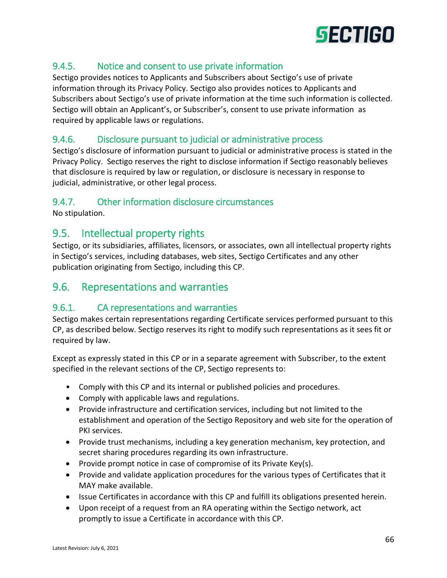

# 9.4.5. Notice and consent to use private information

Sectigo provides notices to Applicants and Subscribers about Sectigo's use of private information through its Privacy Policy. Sectigo also provides notices to Applicants and Subscribers about Sectigo's use of private information at the time such information is collected. Sectigo will obtain an Applicant's, or Subscriber's, consent to use private information as required by applicable laws or regulations.

# 9.4.6. Disclosure pursuant to judicial or administrative process

Sectigo's disclosure of information pursuant to judicial or administrative process is stated in the Privacy Policy. Sectigo reserves the right to disclose information if Sectigo reasonably believes that disclosure is required by law or regulation, or disclosure is necessary in response to judicial, administrative, or other legal process.

#### 9.4.7. Other information disclosure circumstances

No stipulation.

# 9.5. Intellectual property rights

Sectigo, or its subsidiaries, affiliates, licensors, or associates, own all intellectual property rights in Sectigo's services, including databases, web sites, Sectigo Certificates and any other publication originating from Sectigo, including this CP.

# 9.6. Representations and warranties

#### 9.6.1. CA representations and warranties

Sectigo makes certain representations regarding Certificate services performed pursuant to this CP, as described below. Sectigo reserves its right to modify such representations as it sees fit or required by law.

Except as expressly stated in this CP or in a separate agreement with Subscriber, to the extent specified in the relevant sections of the CP, Sectigo represents to:

- Comply with this CP and its internal or published policies and procedures.
- Comply with applicable laws and regulations.
- Provide infrastructure and certification services, including but not limited to the establishment and operation of the Sectigo Repository and web site for the operation of PKI services.
- Provide trust mechanisms, including a key generation mechanism, key protection, and secret sharing procedures regarding its own infrastructure.
- Provide prompt notice in case of compromise of its Private Key(s).
- Provide and validate application procedures for the various types of Certificates that it MAY make available.
- Issue Certificates in accordance with this CP and fulfill its obligations presented herein.
- Upon receipt of a request from an RA operating within the Sectigo network, act promptly to issue a Certificate in accordance with this CP.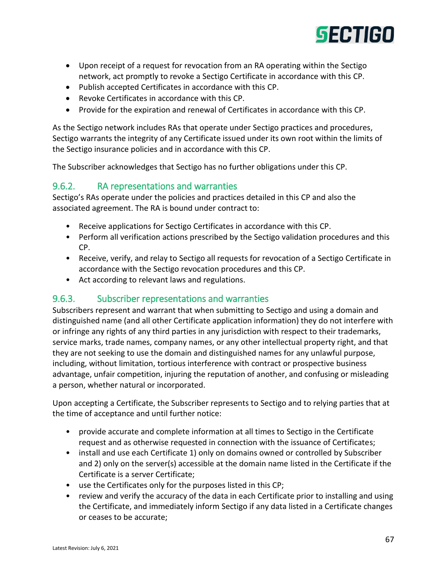

- Upon receipt of a request for revocation from an RA operating within the Sectigo network, act promptly to revoke a Sectigo Certificate in accordance with this CP.
- Publish accepted Certificates in accordance with this CP.
- Revoke Certificates in accordance with this CP.
- Provide for the expiration and renewal of Certificates in accordance with this CP.

As the Sectigo network includes RAs that operate under Sectigo practices and procedures, Sectigo warrants the integrity of any Certificate issued under its own root within the limits of the Sectigo insurance policies and in accordance with this CP.

The Subscriber acknowledges that Sectigo has no further obligations under this CP.

#### 9.6.2. RA representations and warranties

Sectigo's RAs operate under the policies and practices detailed in this CP and also the associated agreement. The RA is bound under contract to:

- Receive applications for Sectigo Certificates in accordance with this CP.
- Perform all verification actions prescribed by the Sectigo validation procedures and this CP.
- Receive, verify, and relay to Sectigo all requests for revocation of a Sectigo Certificate in accordance with the Sectigo revocation procedures and this CP.
- Act according to relevant laws and regulations.

# 9.6.3. Subscriber representations and warranties

Subscribers represent and warrant that when submitting to Sectigo and using a domain and distinguished name (and all other Certificate application information) they do not interfere with or infringe any rights of any third parties in any jurisdiction with respect to their trademarks, service marks, trade names, company names, or any other intellectual property right, and that they are not seeking to use the domain and distinguished names for any unlawful purpose, including, without limitation, tortious interference with contract or prospective business advantage, unfair competition, injuring the reputation of another, and confusing or misleading a person, whether natural or incorporated.

Upon accepting a Certificate, the Subscriber represents to Sectigo and to relying parties that at the time of acceptance and until further notice:

- provide accurate and complete information at all times to Sectigo in the Certificate request and as otherwise requested in connection with the issuance of Certificates;
- install and use each Certificate 1) only on domains owned or controlled by Subscriber and 2) only on the server(s) accessible at the domain name listed in the Certificate if the Certificate is a server Certificate;
- use the Certificates only for the purposes listed in this CP;
- review and verify the accuracy of the data in each Certificate prior to installing and using the Certificate, and immediately inform Sectigo if any data listed in a Certificate changes or ceases to be accurate;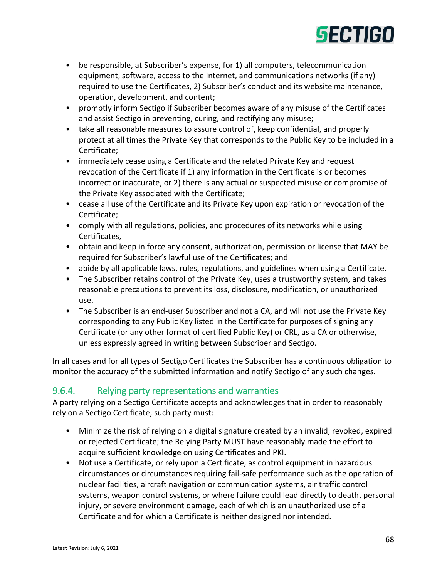

- be responsible, at Subscriber's expense, for 1) all computers, telecommunication equipment, software, access to the Internet, and communications networks (if any) required to use the Certificates, 2) Subscriber's conduct and its website maintenance, operation, development, and content;
- promptly inform Sectigo if Subscriber becomes aware of any misuse of the Certificates and assist Sectigo in preventing, curing, and rectifying any misuse;
- take all reasonable measures to assure control of, keep confidential, and properly protect at all times the Private Key that corresponds to the Public Key to be included in a Certificate;
- immediately cease using a Certificate and the related Private Key and request revocation of the Certificate if 1) any information in the Certificate is or becomes incorrect or inaccurate, or 2) there is any actual or suspected misuse or compromise of the Private Key associated with the Certificate;
- cease all use of the Certificate and its Private Key upon expiration or revocation of the Certificate;
- comply with all regulations, policies, and procedures of its networks while using Certificates,
- obtain and keep in force any consent, authorization, permission or license that MAY be required for Subscriber's lawful use of the Certificates; and
- abide by all applicable laws, rules, regulations, and guidelines when using a Certificate.
- The Subscriber retains control of the Private Key, uses a trustworthy system, and takes reasonable precautions to prevent its loss, disclosure, modification, or unauthorized use.
- The Subscriber is an end-user Subscriber and not a CA, and will not use the Private Key corresponding to any Public Key listed in the Certificate for purposes of signing any Certificate (or any other format of certified Public Key) or CRL, as a CA or otherwise, unless expressly agreed in writing between Subscriber and Sectigo.

In all cases and for all types of Sectigo Certificates the Subscriber has a continuous obligation to monitor the accuracy of the submitted information and notify Sectigo of any such changes.

# 9.6.4. Relying party representations and warranties

A party relying on a Sectigo Certificate accepts and acknowledges that in order to reasonably rely on a Sectigo Certificate, such party must:

- Minimize the risk of relying on a digital signature created by an invalid, revoked, expired or rejected Certificate; the Relying Party MUST have reasonably made the effort to acquire sufficient knowledge on using Certificates and PKI.
- Not use a Certificate, or rely upon a Certificate, as control equipment in hazardous circumstances or circumstances requiring fail-safe performance such as the operation of nuclear facilities, aircraft navigation or communication systems, air traffic control systems, weapon control systems, or where failure could lead directly to death, personal injury, or severe environment damage, each of which is an unauthorized use of a Certificate and for which a Certificate is neither designed nor intended.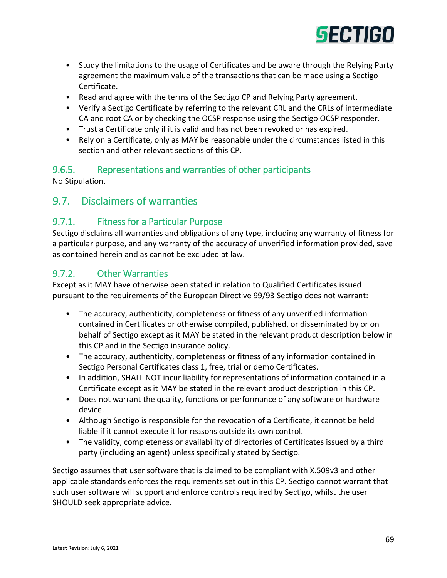

- Study the limitations to the usage of Certificates and be aware through the Relying Party agreement the maximum value of the transactions that can be made using a Sectigo Certificate.
- Read and agree with the terms of the Sectigo CP and Relying Party agreement.
- Verify a Sectigo Certificate by referring to the relevant CRL and the CRLs of intermediate CA and root CA or by checking the OCSP response using the Sectigo OCSP responder.
- Trust a Certificate only if it is valid and has not been revoked or has expired.
- Rely on a Certificate, only as MAY be reasonable under the circumstances listed in this section and other relevant sections of this CP.

#### 9.6.5. Representations and warranties of other participants

No Stipulation.

# 9.7. Disclaimers of warranties

# 9.7.1. Fitness for a Particular Purpose

Sectigo disclaims all warranties and obligations of any type, including any warranty of fitness for a particular purpose, and any warranty of the accuracy of unverified information provided, save as contained herein and as cannot be excluded at law.

#### 9.7.2. Other Warranties

Except as it MAY have otherwise been stated in relation to Qualified Certificates issued pursuant to the requirements of the European Directive 99/93 Sectigo does not warrant:

- The accuracy, authenticity, completeness or fitness of any unverified information contained in Certificates or otherwise compiled, published, or disseminated by or on behalf of Sectigo except as it MAY be stated in the relevant product description below in this CP and in the Sectigo insurance policy.
- The accuracy, authenticity, completeness or fitness of any information contained in Sectigo Personal Certificates class 1, free, trial or demo Certificates.
- In addition, SHALL NOT incur liability for representations of information contained in a Certificate except as it MAY be stated in the relevant product description in this CP.
- Does not warrant the quality, functions or performance of any software or hardware device.
- Although Sectigo is responsible for the revocation of a Certificate, it cannot be held liable if it cannot execute it for reasons outside its own control.
- The validity, completeness or availability of directories of Certificates issued by a third party (including an agent) unless specifically stated by Sectigo.

Sectigo assumes that user software that is claimed to be compliant with X.509v3 and other applicable standards enforces the requirements set out in this CP. Sectigo cannot warrant that such user software will support and enforce controls required by Sectigo, whilst the user SHOULD seek appropriate advice.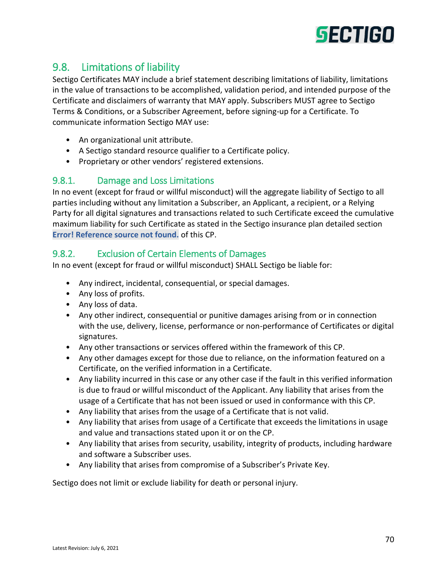

# 9.8. Limitations of liability

Sectigo Certificates MAY include a brief statement describing limitations of liability, limitations in the value of transactions to be accomplished, validation period, and intended purpose of the Certificate and disclaimers of warranty that MAY apply. Subscribers MUST agree to Sectigo Terms & Conditions, or a Subscriber Agreement, before signing-up for a Certificate. To communicate information Sectigo MAY use:

- An organizational unit attribute.
- A Sectigo standard resource qualifier to a Certificate policy.
- Proprietary or other vendors' registered extensions.

# 9.8.1. Damage and Loss Limitations

In no event (except for fraud or willful misconduct) will the aggregate liability of Sectigo to all parties including without any limitation a Subscriber, an Applicant, a recipient, or a Relying Party for all digital signatures and transactions related to such Certificate exceed the cumulative maximum liability for such Certificate as stated in the Sectigo insurance plan detailed section **Error! Reference source not found.** of this CP.

# 9.8.2. Exclusion of Certain Elements of Damages

In no event (except for fraud or willful misconduct) SHALL Sectigo be liable for:

- Any indirect, incidental, consequential, or special damages.
- Any loss of profits.
- Any loss of data.
- Any other indirect, consequential or punitive damages arising from or in connection with the use, delivery, license, performance or non-performance of Certificates or digital signatures.
- Any other transactions or services offered within the framework of this CP.
- Any other damages except for those due to reliance, on the information featured on a Certificate, on the verified information in a Certificate.
- Any liability incurred in this case or any other case if the fault in this verified information is due to fraud or willful misconduct of the Applicant. Any liability that arises from the usage of a Certificate that has not been issued or used in conformance with this CP.
- Any liability that arises from the usage of a Certificate that is not valid.
- Any liability that arises from usage of a Certificate that exceeds the limitations in usage and value and transactions stated upon it or on the CP.
- Any liability that arises from security, usability, integrity of products, including hardware and software a Subscriber uses.
- Any liability that arises from compromise of a Subscriber's Private Key.

Sectigo does not limit or exclude liability for death or personal injury.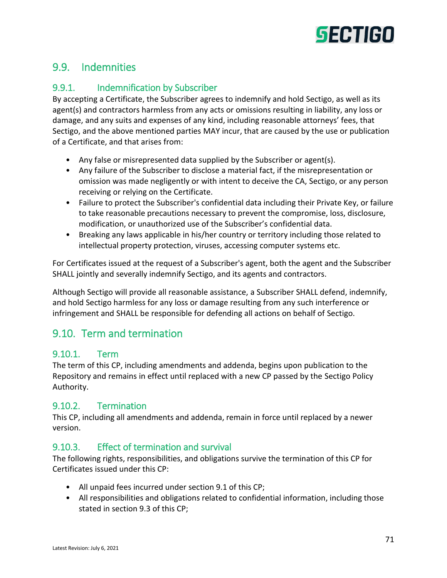

# 9.9. Indemnities

# 9.9.1. Indemnification by Subscriber

By accepting a Certificate, the Subscriber agrees to indemnify and hold Sectigo, as well as its agent(s) and contractors harmless from any acts or omissions resulting in liability, any loss or damage, and any suits and expenses of any kind, including reasonable attorneys' fees, that Sectigo, and the above mentioned parties MAY incur, that are caused by the use or publication of a Certificate, and that arises from:

- Any false or misrepresented data supplied by the Subscriber or agent(s).
- Any failure of the Subscriber to disclose a material fact, if the misrepresentation or omission was made negligently or with intent to deceive the CA, Sectigo, or any person receiving or relying on the Certificate.
- Failure to protect the Subscriber's confidential data including their Private Key, or failure to take reasonable precautions necessary to prevent the compromise, loss, disclosure, modification, or unauthorized use of the Subscriber's confidential data.
- Breaking any laws applicable in his/her country or territory including those related to intellectual property protection, viruses, accessing computer systems etc.

For Certificates issued at the request of a Subscriber's agent, both the agent and the Subscriber SHALL jointly and severally indemnify Sectigo, and its agents and contractors.

Although Sectigo will provide all reasonable assistance, a Subscriber SHALL defend, indemnify, and hold Sectigo harmless for any loss or damage resulting from any such interference or infringement and SHALL be responsible for defending all actions on behalf of Sectigo.

# 9.10. Term and termination

#### 9.10.1. Term

The term of this CP, including amendments and addenda, begins upon publication to the Repository and remains in effect until replaced with a new CP passed by the Sectigo Policy Authority.

#### 9.10.2. Termination

This CP, including all amendments and addenda, remain in force until replaced by a newer version.

#### 9.10.3. Effect of termination and survival

The following rights, responsibilities, and obligations survive the termination of this CP for Certificates issued under this CP:

- All unpaid fees incurred under section 9.1 of this CP;
- All responsibilities and obligations related to confidential information, including those stated in section 9.3 of this CP;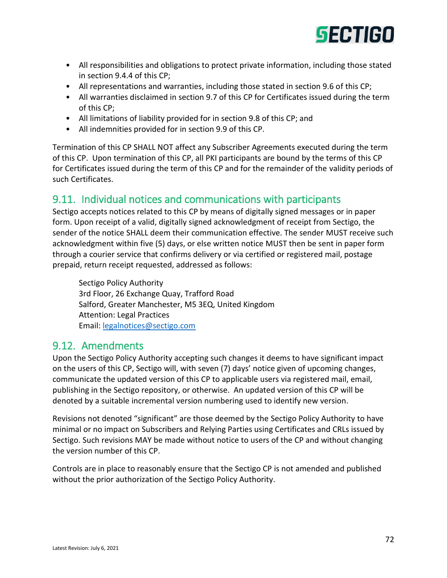

- All responsibilities and obligations to protect private information, including those stated in section 9.4.4 of this CP;
- All representations and warranties, including those stated in section 9.6 of this CP;
- All warranties disclaimed in section 9.7 of this CP for Certificates issued during the term of this CP;
- All limitations of liability provided for in section 9.8 of this CP; and
- All indemnities provided for in section 9.9 of this CP.

Termination of this CP SHALL NOT affect any Subscriber Agreements executed during the term of this CP. Upon termination of this CP, all PKI participants are bound by the terms of this CP for Certificates issued during the term of this CP and for the remainder of the validity periods of such Certificates.

# 9.11. Individual notices and communications with participants

Sectigo accepts notices related to this CP by means of digitally signed messages or in paper form. Upon receipt of a valid, digitally signed acknowledgment of receipt from Sectigo, the sender of the notice SHALL deem their communication effective. The sender MUST receive such acknowledgment within five (5) days, or else written notice MUST then be sent in paper form through a courier service that confirms delivery or via certified or registered mail, postage prepaid, return receipt requested, addressed as follows:

Sectigo Policy Authority 3rd Floor, 26 Exchange Quay, Trafford Road Salford, Greater Manchester, M5 3EQ, United Kingdom Attention: Legal Practices Email: [legalnotices@sectigo.com](mailto:legalnotices@sectigo.com)

# 9.12. Amendments

Upon the Sectigo Policy Authority accepting such changes it deems to have significant impact on the users of this CP, Sectigo will, with seven (7) days' notice given of upcoming changes, communicate the updated version of this CP to applicable users via registered mail, email, publishing in the Sectigo repository, or otherwise. An updated version of this CP will be denoted by a suitable incremental version numbering used to identify new version.

Revisions not denoted "significant" are those deemed by the Sectigo Policy Authority to have minimal or no impact on Subscribers and Relying Parties using Certificates and CRLs issued by Sectigo. Such revisions MAY be made without notice to users of the CP and without changing the version number of this CP.

Controls are in place to reasonably ensure that the Sectigo CP is not amended and published without the prior authorization of the Sectigo Policy Authority.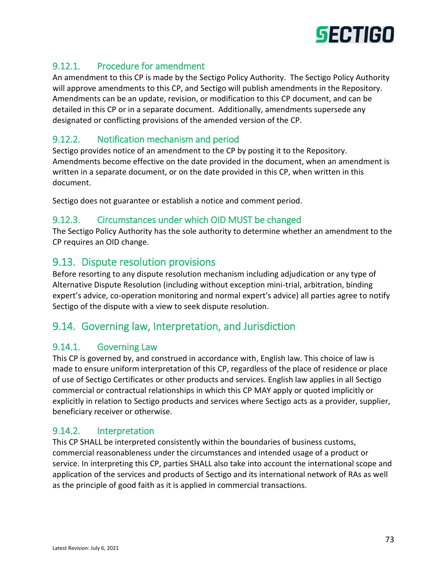

## 9.12.1. Procedure for amendment

An amendment to this CP is made by the Sectigo Policy Authority. The Sectigo Policy Authority will approve amendments to this CP, and Sectigo will publish amendments in the Repository. Amendments can be an update, revision, or modification to this CP document, and can be detailed in this CP or in a separate document. Additionally, amendments supersede any designated or conflicting provisions of the amended version of the CP.

## 9.12.2. Notification mechanism and period

Sectigo provides notice of an amendment to the CP by posting it to the Repository. Amendments become effective on the date provided in the document, when an amendment is written in a separate document, or on the date provided in this CP, when written in this document.

Sectigo does not guarantee or establish a notice and comment period.

#### 9.12.3. Circumstances under which OID MUST be changed

The Sectigo Policy Authority has the sole authority to determine whether an amendment to the CP requires an OID change.

## 9.13. Dispute resolution provisions

Before resorting to any dispute resolution mechanism including adjudication or any type of Alternative Dispute Resolution (including without exception mini-trial, arbitration, binding expert's advice, co-operation monitoring and normal expert's advice) all parties agree to notify Sectigo of the dispute with a view to seek dispute resolution.

# 9.14. Governing law, Interpretation, and Jurisdiction

#### 9.14.1. Governing Law

This CP is governed by, and construed in accordance with, English law. This choice of law is made to ensure uniform interpretation of this CP, regardless of the place of residence or place of use of Sectigo Certificates or other products and services. English law applies in all Sectigo commercial or contractual relationships in which this CP MAY apply or quoted implicitly or explicitly in relation to Sectigo products and services where Sectigo acts as a provider, supplier, beneficiary receiver or otherwise.

#### 9.14.2. Interpretation

This CP SHALL be interpreted consistently within the boundaries of business customs, commercial reasonableness under the circumstances and intended usage of a product or service. In interpreting this CP, parties SHALL also take into account the international scope and application of the services and products of Sectigo and its international network of RAs as well as the principle of good faith as it is applied in commercial transactions.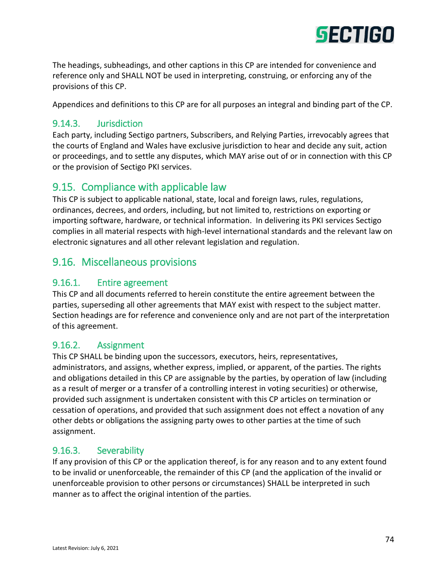

The headings, subheadings, and other captions in this CP are intended for convenience and reference only and SHALL NOT be used in interpreting, construing, or enforcing any of the provisions of this CP.

Appendices and definitions to this CP are for all purposes an integral and binding part of the CP.

#### 9.14.3. Jurisdiction

Each party, including Sectigo partners, Subscribers, and Relying Parties, irrevocably agrees that the courts of England and Wales have exclusive jurisdiction to hear and decide any suit, action or proceedings, and to settle any disputes, which MAY arise out of or in connection with this CP or the provision of Sectigo PKI services.

# 9.15. Compliance with applicable law

This CP is subject to applicable national, state, local and foreign laws, rules, regulations, ordinances, decrees, and orders, including, but not limited to, restrictions on exporting or importing software, hardware, or technical information. In delivering its PKI services Sectigo complies in all material respects with high-level international standards and the relevant law on electronic signatures and all other relevant legislation and regulation.

# 9.16. Miscellaneous provisions

#### 9.16.1. Entire agreement

This CP and all documents referred to herein constitute the entire agreement between the parties, superseding all other agreements that MAY exist with respect to the subject matter. Section headings are for reference and convenience only and are not part of the interpretation of this agreement.

#### 9.16.2. Assignment

This CP SHALL be binding upon the successors, executors, heirs, representatives, administrators, and assigns, whether express, implied, or apparent, of the parties. The rights and obligations detailed in this CP are assignable by the parties, by operation of law (including as a result of merger or a transfer of a controlling interest in voting securities) or otherwise, provided such assignment is undertaken consistent with this CP articles on termination or cessation of operations, and provided that such assignment does not effect a novation of any other debts or obligations the assigning party owes to other parties at the time of such assignment.

#### 9.16.3. Severability

If any provision of this CP or the application thereof, is for any reason and to any extent found to be invalid or unenforceable, the remainder of this CP (and the application of the invalid or unenforceable provision to other persons or circumstances) SHALL be interpreted in such manner as to affect the original intention of the parties.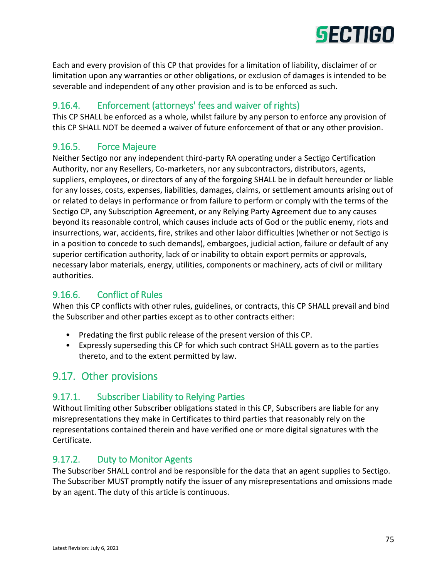

Each and every provision of this CP that provides for a limitation of liability, disclaimer of or limitation upon any warranties or other obligations, or exclusion of damages is intended to be severable and independent of any other provision and is to be enforced as such.

## 9.16.4. Enforcement (attorneys' fees and waiver of rights)

This CP SHALL be enforced as a whole, whilst failure by any person to enforce any provision of this CP SHALL NOT be deemed a waiver of future enforcement of that or any other provision.

#### 9.16.5. Force Majeure

Neither Sectigo nor any independent third-party RA operating under a Sectigo Certification Authority, nor any Resellers, Co-marketers, nor any subcontractors, distributors, agents, suppliers, employees, or directors of any of the forgoing SHALL be in default hereunder or liable for any losses, costs, expenses, liabilities, damages, claims, or settlement amounts arising out of or related to delays in performance or from failure to perform or comply with the terms of the Sectigo CP, any Subscription Agreement, or any Relying Party Agreement due to any causes beyond its reasonable control, which causes include acts of God or the public enemy, riots and insurrections, war, accidents, fire, strikes and other labor difficulties (whether or not Sectigo is in a position to concede to such demands), embargoes, judicial action, failure or default of any superior certification authority, lack of or inability to obtain export permits or approvals, necessary labor materials, energy, utilities, components or machinery, acts of civil or military authorities.

## 9.16.6. Conflict of Rules

When this CP conflicts with other rules, guidelines, or contracts, this CP SHALL prevail and bind the Subscriber and other parties except as to other contracts either:

- Predating the first public release of the present version of this CP.
- Expressly superseding this CP for which such contract SHALL govern as to the parties thereto, and to the extent permitted by law.

# 9.17. Other provisions

#### 9.17.1. Subscriber Liability to Relying Parties

Without limiting other Subscriber obligations stated in this CP, Subscribers are liable for any misrepresentations they make in Certificates to third parties that reasonably rely on the representations contained therein and have verified one or more digital signatures with the Certificate.

#### 9.17.2. Duty to Monitor Agents

The Subscriber SHALL control and be responsible for the data that an agent supplies to Sectigo. The Subscriber MUST promptly notify the issuer of any misrepresentations and omissions made by an agent. The duty of this article is continuous.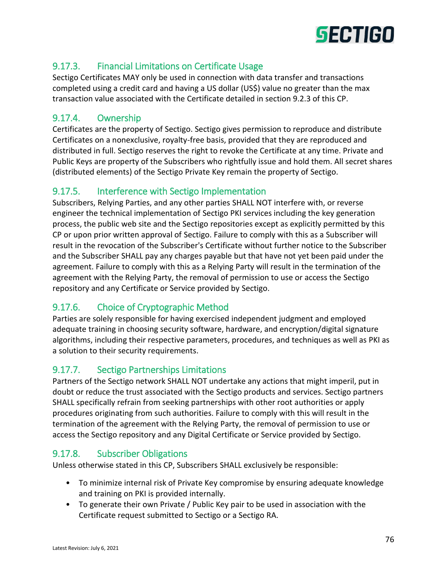

## 9.17.3. Financial Limitations on Certificate Usage

Sectigo Certificates MAY only be used in connection with data transfer and transactions completed using a credit card and having a US dollar (US\$) value no greater than the max transaction value associated with the Certificate detailed in section 9.2.3 of this CP.

## 9.17.4. Ownership

Certificates are the property of Sectigo. Sectigo gives permission to reproduce and distribute Certificates on a nonexclusive, royalty-free basis, provided that they are reproduced and distributed in full. Sectigo reserves the right to revoke the Certificate at any time. Private and Public Keys are property of the Subscribers who rightfully issue and hold them. All secret shares (distributed elements) of the Sectigo Private Key remain the property of Sectigo.

#### 9.17.5. Interference with Sectigo Implementation

Subscribers, Relying Parties, and any other parties SHALL NOT interfere with, or reverse engineer the technical implementation of Sectigo PKI services including the key generation process, the public web site and the Sectigo repositories except as explicitly permitted by this CP or upon prior written approval of Sectigo. Failure to comply with this as a Subscriber will result in the revocation of the Subscriber's Certificate without further notice to the Subscriber and the Subscriber SHALL pay any charges payable but that have not yet been paid under the agreement. Failure to comply with this as a Relying Party will result in the termination of the agreement with the Relying Party, the removal of permission to use or access the Sectigo repository and any Certificate or Service provided by Sectigo.

## 9.17.6. Choice of Cryptographic Method

Parties are solely responsible for having exercised independent judgment and employed adequate training in choosing security software, hardware, and encryption/digital signature algorithms, including their respective parameters, procedures, and techniques as well as PKI as a solution to their security requirements.

## 9.17.7. Sectigo Partnerships Limitations

Partners of the Sectigo network SHALL NOT undertake any actions that might imperil, put in doubt or reduce the trust associated with the Sectigo products and services. Sectigo partners SHALL specifically refrain from seeking partnerships with other root authorities or apply procedures originating from such authorities. Failure to comply with this will result in the termination of the agreement with the Relying Party, the removal of permission to use or access the Sectigo repository and any Digital Certificate or Service provided by Sectigo.

## 9.17.8. Subscriber Obligations

Unless otherwise stated in this CP, Subscribers SHALL exclusively be responsible:

- To minimize internal risk of Private Key compromise by ensuring adequate knowledge and training on PKI is provided internally.
- To generate their own Private / Public Key pair to be used in association with the Certificate request submitted to Sectigo or a Sectigo RA.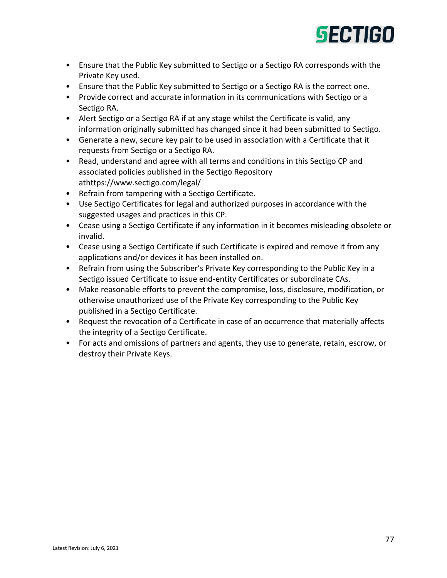

- Ensure that the Public Key submitted to Sectigo or a Sectigo RA corresponds with the Private Key used.
- Ensure that the Public Key submitted to Sectigo or a Sectigo RA is the correct one.
- Provide correct and accurate information in its communications with Sectigo or a Sectigo RA.
- Alert Sectigo or a Sectigo RA if at any stage whilst the Certificate is valid, any information originally submitted has changed since it had been submitted to Sectigo.
- Generate a new, secure key pair to be used in association with a Certificate that it requests from Sectigo or a Sectigo RA.
- Read, understand and agree with all terms and conditions in this Sectigo CP and associated policies published in the Sectigo Repository athttps://www.sectigo.com/legal/
- Refrain from tampering with a Sectigo Certificate.
- Use Sectigo Certificates for legal and authorized purposes in accordance with the suggested usages and practices in this CP.
- Cease using a Sectigo Certificate if any information in it becomes misleading obsolete or invalid.
- Cease using a Sectigo Certificate if such Certificate is expired and remove it from any applications and/or devices it has been installed on.
- Refrain from using the Subscriber's Private Key corresponding to the Public Key in a Sectigo issued Certificate to issue end-entity Certificates or subordinate CAs.
- Make reasonable efforts to prevent the compromise, loss, disclosure, modification, or otherwise unauthorized use of the Private Key corresponding to the Public Key published in a Sectigo Certificate.
- Request the revocation of a Certificate in case of an occurrence that materially affects the integrity of a Sectigo Certificate.
- For acts and omissions of partners and agents, they use to generate, retain, escrow, or destroy their Private Keys.